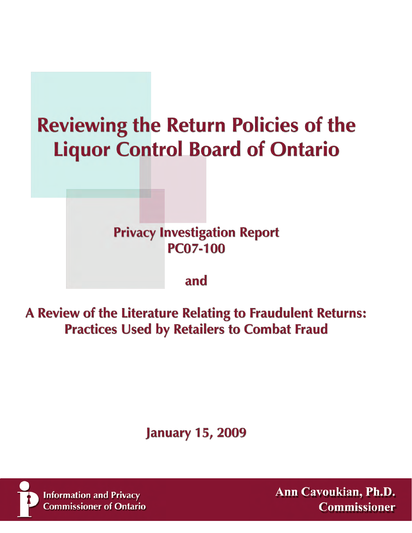# **Reviewing the Return Policies of the Liquor Control Board of Ontario**

# **Privacy Investigation Report PC07-100**

### and

A Review of the Literature Relating to Fraudulent Returns: **Practices Used by Retailers to Combat Fraud** 

# **January 15, 2009**



**Information and Privacy Commissioner of Ontario**  Ann Cavoukian, Ph.D. **Commissioner**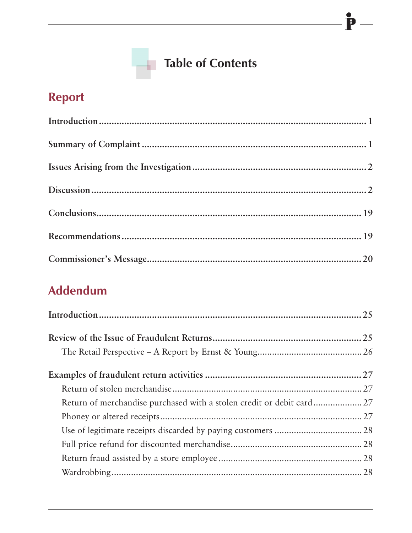# **Table of Contents**

 $\mathbf{\hat{P}}$ 

## Report

# **Addendum**

| Return of merchandise purchased with a stolen credit or debit card 27 |  |
|-----------------------------------------------------------------------|--|
|                                                                       |  |
|                                                                       |  |
|                                                                       |  |
|                                                                       |  |
|                                                                       |  |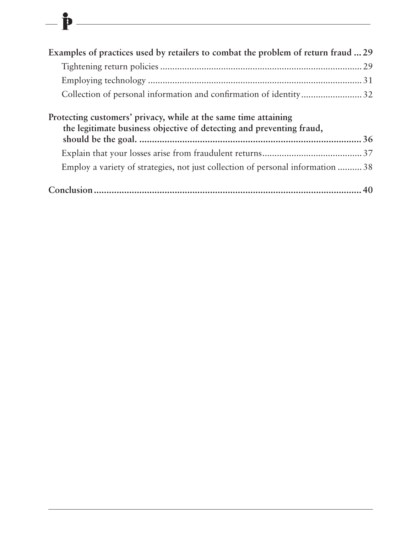| Examples of practices used by retailers to combat the problem of return fraud  29                                                       |  |
|-----------------------------------------------------------------------------------------------------------------------------------------|--|
|                                                                                                                                         |  |
|                                                                                                                                         |  |
| Collection of personal information and confirmation of identity32                                                                       |  |
| Protecting customers' privacy, while at the same time attaining<br>the legitimate business objective of detecting and preventing fraud, |  |
|                                                                                                                                         |  |
| Employ a variety of strategies, not just collection of personal information  38                                                         |  |
|                                                                                                                                         |  |

 $-\mathbf{\hat{P}}$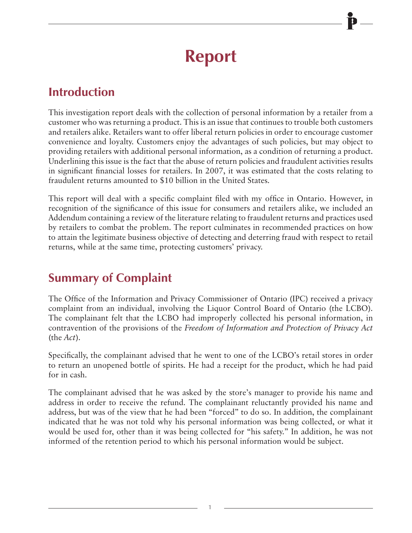# **Report**

### **Introduction**

This investigation report deals with the collection of personal information by a retailer from a customer who was returning a product. This is an issue that continues to trouble both customers and retailers alike. Retailers want to offer liberal return policies in order to encourage customer convenience and loyalty. Customers enjoy the advantages of such policies, but may object to providing retailers with additional personal information, as a condition of returning a product. Underlining this issue is the fact that the abuse of return policies and fraudulent activities results in significant financial losses for retailers. In 2007, it was estimated that the costs relating to fraudulent returns amounted to \$10 billion in the United States.

This report will deal with a specific complaint filed with my office in Ontario. However, in recognition of the significance of this issue for consumers and retailers alike, we included an Addendum containing a review of the literature relating to fraudulent returns and practices used by retailers to combat the problem. The report culminates in recommended practices on how to attain the legitimate business objective of detecting and deterring fraud with respect to retail returns, while at the same time, protecting customers' privacy.

### **Summary of Complaint**

The Office of the Information and Privacy Commissioner of Ontario (IPC) received a privacy complaint from an individual, involving the Liquor Control Board of Ontario (the LCBO). The complainant felt that the LCBO had improperly collected his personal information, in contravention of the provisions of the *Freedom of Information and Protection of Privacy Act* (the *Act*).

Specifically, the complainant advised that he went to one of the LCBO's retail stores in order to return an unopened bottle of spirits. He had a receipt for the product, which he had paid for in cash.

The complainant advised that he was asked by the store's manager to provide his name and address in order to receive the refund. The complainant reluctantly provided his name and address, but was of the view that he had been "forced" to do so. In addition, the complainant indicated that he was not told why his personal information was being collected, or what it would be used for, other than it was being collected for "his safety." In addition, he was not informed of the retention period to which his personal information would be subject.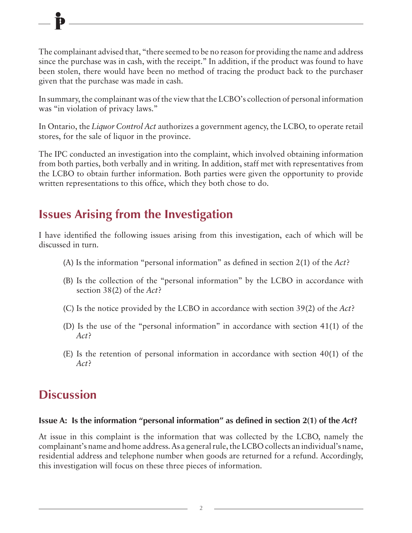The complainant advised that, "there seemed to be no reason for providing the name and address since the purchase was in cash, with the receipt." In addition, if the product was found to have been stolen, there would have been no method of tracing the product back to the purchaser given that the purchase was made in cash.

In summary, the complainant was of the view that the LCBO's collection of personal information was "in violation of privacy laws."

In Ontario, the *Liquor Control Act* authorizes a government agency, the LCBO, to operate retail stores, for the sale of liquor in the province.

The IPC conducted an investigation into the complaint, which involved obtaining information from both parties, both verbally and in writing. In addition, staff met with representatives from the LCBO to obtain further information. Both parties were given the opportunity to provide written representations to this office, which they both chose to do.

### **Issues Arising from the Investigation**

I have identified the following issues arising from this investigation, each of which will be discussed in turn.

- (A) Is the information "personal information" as defined in section 2(1) of the *Act*?
- (B) Is the collection of the "personal information" by the LCBO in accordance with section 38(2) of the *Act*?
- (C) Is the notice provided by the LCBO in accordance with section 39(2) of the *Act*?
- (D) Is the use of the "personal information" in accordance with section 41(1) of the *Act*?
- (E) Is the retention of personal information in accordance with section 40(1) of the *Act*?

### **Discussion**

#### **Issue A: Is the information "personal information" as defined in section 2(1) of the** *Act***?**

At issue in this complaint is the information that was collected by the LCBO, namely the complainant's name and home address. As a general rule, the LCBO collects an individual's name, residential address and telephone number when goods are returned for a refund. Accordingly, this investigation will focus on these three pieces of information.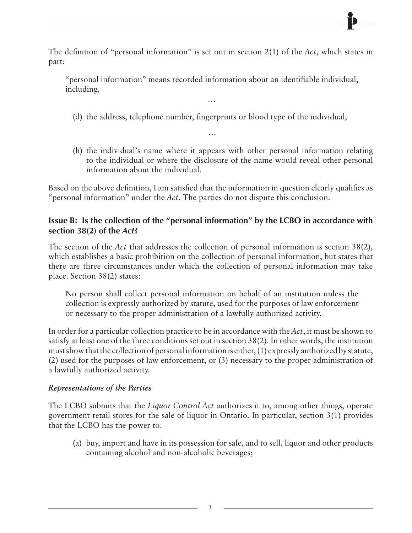The definition of "personal information" is set out in section 2(1) of the *Act*, which states in part:

"personal information" means recorded information about an identifiable individual, including,

…

(d) the address, telephone number, fingerprints or blood type of the individual,

…

(h) the individual's name where it appears with other personal information relating to the individual or where the disclosure of the name would reveal other personal information about the individual.

Based on the above definition, I am satisfied that the information in question clearly qualifies as "personal information" under the *Act*. The parties do not dispute this conclusion.

#### **Issue B: Is the collection of the "personal information" by the LCBO in accordance with section 38(2) of the** *Act***?**

The section of the *Act* that addresses the collection of personal information is section 38(2), which establishes a basic prohibition on the collection of personal information, but states that there are three circumstances under which the collection of personal information may take place. Section 38(2) states:

No person shall collect personal information on behalf of an institution unless the collection is expressly authorized by statute, used for the purposes of law enforcement or necessary to the proper administration of a lawfully authorized activity.

In order for a particular collection practice to be in accordance with the *Act*, it must be shown to satisfy at least one of the three conditions set out in section 38(2). In other words, the institution must show that the collection of personal information is either, (1) expressly authorized by statute, (2) used for the purposes of law enforcement, or (3) necessary to the proper administration of a lawfully authorized activity.

#### *Representations of the Parties*

The LCBO submits that the *Liquor Control Act* authorizes it to, among other things, operate government retail stores for the sale of liquor in Ontario. In particular, section 3(1) provides that the LCBO has the power to:

(a) buy, import and have in its possession for sale, and to sell, liquor and other products containing alcohol and non-alcoholic beverages;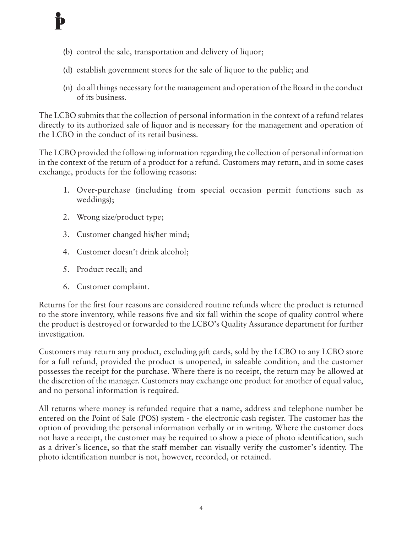- (b) control the sale, transportation and delivery of liquor;
- (d) establish government stores for the sale of liquor to the public; and
- (n) do all things necessary for the management and operation of the Board in the conduct of its business.

The LCBO submits that the collection of personal information in the context of a refund relates directly to its authorized sale of liquor and is necessary for the management and operation of the LCBO in the conduct of its retail business.

The LCBO provided the following information regarding the collection of personal information in the context of the return of a product for a refund. Customers may return, and in some cases exchange, products for the following reasons:

- 1. Over-purchase (including from special occasion permit functions such as weddings);
- 2. Wrong size/product type;
- 3. Customer changed his/her mind;
- 4. Customer doesn't drink alcohol;
- 5. Product recall; and
- 6. Customer complaint.

Returns for the first four reasons are considered routine refunds where the product is returned to the store inventory, while reasons five and six fall within the scope of quality control where the product is destroyed or forwarded to the LCBO's Quality Assurance department for further investigation.

Customers may return any product, excluding gift cards, sold by the LCBO to any LCBO store for a full refund, provided the product is unopened, in saleable condition, and the customer possesses the receipt for the purchase. Where there is no receipt, the return may be allowed at the discretion of the manager. Customers may exchange one product for another of equal value, and no personal information is required.

All returns where money is refunded require that a name, address and telephone number be entered on the Point of Sale (POS) system - the electronic cash register. The customer has the option of providing the personal information verbally or in writing. Where the customer does not have a receipt, the customer may be required to show a piece of photo identification, such as a driver's licence, so that the staff member can visually verify the customer's identity. The photo identification number is not, however, recorded, or retained.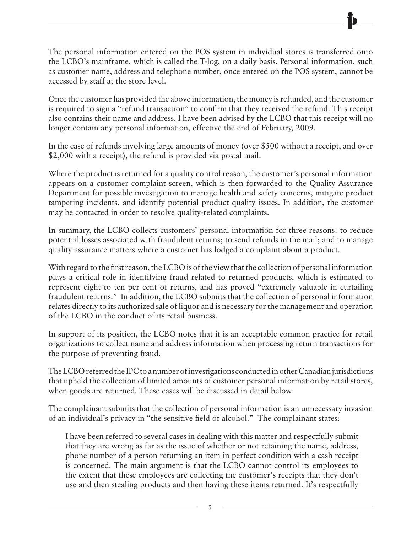The personal information entered on the POS system in individual stores is transferred onto the LCBO's mainframe, which is called the T-log, on a daily basis. Personal information, such as customer name, address and telephone number, once entered on the POS system, cannot be accessed by staff at the store level.

Once the customer has provided the above information, the money is refunded, and the customer is required to sign a "refund transaction" to confirm that they received the refund. This receipt also contains their name and address. I have been advised by the LCBO that this receipt will no longer contain any personal information, effective the end of February, 2009.

In the case of refunds involving large amounts of money (over \$500 without a receipt, and over \$2,000 with a receipt), the refund is provided via postal mail.

Where the product is returned for a quality control reason, the customer's personal information appears on a customer complaint screen, which is then forwarded to the Quality Assurance Department for possible investigation to manage health and safety concerns, mitigate product tampering incidents, and identify potential product quality issues. In addition, the customer may be contacted in order to resolve quality-related complaints.

In summary, the LCBO collects customers' personal information for three reasons: to reduce potential losses associated with fraudulent returns; to send refunds in the mail; and to manage quality assurance matters where a customer has lodged a complaint about a product.

With regard to the first reason, the LCBO is of the view that the collection of personal information plays a critical role in identifying fraud related to returned products, which is estimated to represent eight to ten per cent of returns, and has proved "extremely valuable in curtailing fraudulent returns." In addition, the LCBO submits that the collection of personal information relates directly to its authorized sale of liquor and is necessary for the management and operation of the LCBO in the conduct of its retail business.

In support of its position, the LCBO notes that it is an acceptable common practice for retail organizations to collect name and address information when processing return transactions for the purpose of preventing fraud.

The LCBO referred the IPC to a number of investigations conducted in other Canadian jurisdictions that upheld the collection of limited amounts of customer personal information by retail stores, when goods are returned. These cases will be discussed in detail below.

The complainant submits that the collection of personal information is an unnecessary invasion of an individual's privacy in "the sensitive field of alcohol." The complainant states:

I have been referred to several cases in dealing with this matter and respectfully submit that they are wrong as far as the issue of whether or not retaining the name, address, phone number of a person returning an item in perfect condition with a cash receipt is concerned. The main argument is that the LCBO cannot control its employees to the extent that these employees are collecting the customer's receipts that they don't use and then stealing products and then having these items returned. It's respectfully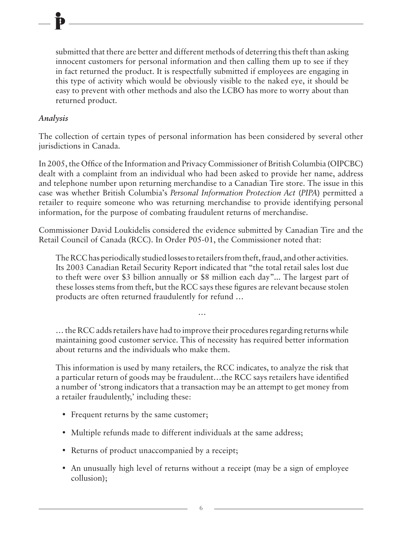submitted that there are better and different methods of deterring this theft than asking innocent customers for personal information and then calling them up to see if they in fact returned the product. It is respectfully submitted if employees are engaging in this type of activity which would be obviously visible to the naked eye, it should be easy to prevent with other methods and also the LCBO has more to worry about than returned product.

#### *Analysis*

The collection of certain types of personal information has been considered by several other jurisdictions in Canada.

In 2005, the Office of the Information and Privacy Commissioner of British Columbia (OIPCBC) dealt with a complaint from an individual who had been asked to provide her name, address and telephone number upon returning merchandise to a Canadian Tire store. The issue in this case was whether British Columbia's *Personal Information Protection Act* (*PIPA*) permitted a retailer to require someone who was returning merchandise to provide identifying personal information, for the purpose of combating fraudulent returns of merchandise.

Commissioner David Loukidelis considered the evidence submitted by Canadian Tire and the Retail Council of Canada (RCC). In Order P05-01, the Commissioner noted that:

The RCC has periodically studied losses to retailers from theft, fraud, and other activities. Its 2003 Canadian Retail Security Report indicated that "the total retail sales lost due to theft were over \$3 billion annually or \$8 million each day"... The largest part of these losses stems from theft, but the RCC says these figures are relevant because stolen products are often returned fraudulently for refund …

… the RCC adds retailers have had to improve their procedures regarding returns while maintaining good customer service. This of necessity has required better information about returns and the individuals who make them.

…

This information is used by many retailers, the RCC indicates, to analyze the risk that a particular return of goods may be fraudulent…the RCC says retailers have identified a number of 'strong indicators that a transaction may be an attempt to get money from a retailer fraudulently,' including these:

- Frequent returns by the same customer;
- Multiple refunds made to different individuals at the same address;
- Returns of product unaccompanied by a receipt;
- An unusually high level of returns without a receipt (may be a sign of employee collusion);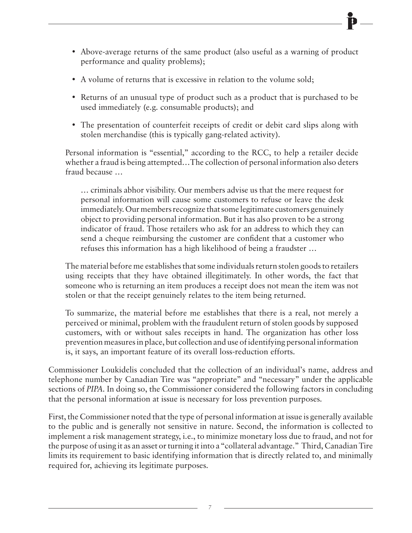- Above-average returns of the same product (also useful as a warning of product performance and quality problems);
- A volume of returns that is excessive in relation to the volume sold;
- Returns of an unusual type of product such as a product that is purchased to be used immediately (e.g. consumable products); and
- The presentation of counterfeit receipts of credit or debit card slips along with stolen merchandise (this is typically gang-related activity).

Personal information is "essential," according to the RCC, to help a retailer decide whether a fraud is being attempted…The collection of personal information also deters fraud because …

… criminals abhor visibility. Our members advise us that the mere request for personal information will cause some customers to refuse or leave the desk immediately. Our members recognize that some legitimate customers genuinely object to providing personal information. But it has also proven to be a strong indicator of fraud. Those retailers who ask for an address to which they can send a cheque reimbursing the customer are confident that a customer who refuses this information has a high likelihood of being a fraudster …

The material before me establishes that some individuals return stolen goods to retailers using receipts that they have obtained illegitimately. In other words, the fact that someone who is returning an item produces a receipt does not mean the item was not stolen or that the receipt genuinely relates to the item being returned.

To summarize, the material before me establishes that there is a real, not merely a perceived or minimal, problem with the fraudulent return of stolen goods by supposed customers, with or without sales receipts in hand. The organization has other loss prevention measures in place, but collection and use of identifying personal information is, it says, an important feature of its overall loss-reduction efforts.

Commissioner Loukidelis concluded that the collection of an individual's name, address and telephone number by Canadian Tire was "appropriate" and "necessary" under the applicable sections of *PIPA*. In doing so, the Commissioner considered the following factors in concluding that the personal information at issue is necessary for loss prevention purposes.

First, the Commissioner noted that the type of personal information at issue is generally available to the public and is generally not sensitive in nature. Second, the information is collected to implement a risk management strategy, i.e., to minimize monetary loss due to fraud, and not for the purpose of using it as an asset or turning it into a "collateral advantage." Third, Canadian Tire limits its requirement to basic identifying information that is directly related to, and minimally required for, achieving its legitimate purposes.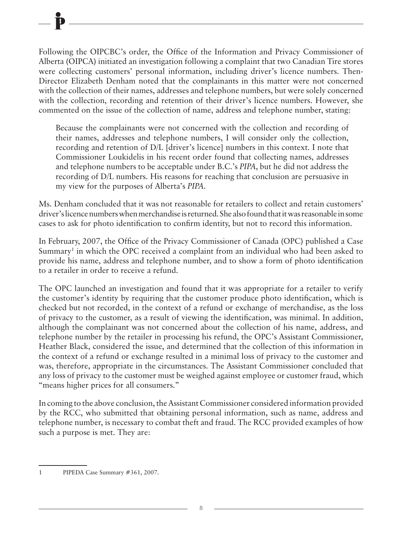Following the OIPCBC's order, the Office of the Information and Privacy Commissioner of Alberta (OIPCA) initiated an investigation following a complaint that two Canadian Tire stores were collecting customers' personal information, including driver's licence numbers. Then-Director Elizabeth Denham noted that the complainants in this matter were not concerned with the collection of their names, addresses and telephone numbers, but were solely concerned with the collection, recording and retention of their driver's licence numbers. However, she commented on the issue of the collection of name, address and telephone number, stating:

Because the complainants were not concerned with the collection and recording of their names, addresses and telephone numbers, I will consider only the collection, recording and retention of D/L [driver's licence] numbers in this context. I note that Commissioner Loukidelis in his recent order found that collecting names, addresses and telephone numbers to be acceptable under B.C.'s *PIPA*, but he did not address the recording of D/L numbers. His reasons for reaching that conclusion are persuasive in my view for the purposes of Alberta's *PIPA*.

Ms. Denham concluded that it was not reasonable for retailers to collect and retain customers' driver's licence numbers when merchandise is returned. She also found that it was reasonable in some cases to ask for photo identification to confirm identity, but not to record this information.

In February, 2007, the Office of the Privacy Commissioner of Canada (OPC) published a Case Summary<sup>1</sup> in which the OPC received a complaint from an individual who had been asked to provide his name, address and telephone number, and to show a form of photo identification to a retailer in order to receive a refund.

The OPC launched an investigation and found that it was appropriate for a retailer to verify the customer's identity by requiring that the customer produce photo identification, which is checked but not recorded, in the context of a refund or exchange of merchandise, as the loss of privacy to the customer, as a result of viewing the identification, was minimal. In addition, although the complainant was not concerned about the collection of his name, address, and telephone number by the retailer in processing his refund, the OPC's Assistant Commissioner, Heather Black, considered the issue, and determined that the collection of this information in the context of a refund or exchange resulted in a minimal loss of privacy to the customer and was, therefore, appropriate in the circumstances. The Assistant Commissioner concluded that any loss of privacy to the customer must be weighed against employee or customer fraud, which "means higher prices for all consumers."

In coming to the above conclusion, the Assistant Commissioner considered information provided by the RCC, who submitted that obtaining personal information, such as name, address and telephone number, is necessary to combat theft and fraud. The RCC provided examples of how such a purpose is met. They are:

<sup>1</sup> PIPEDA Case Summary #361, 2007.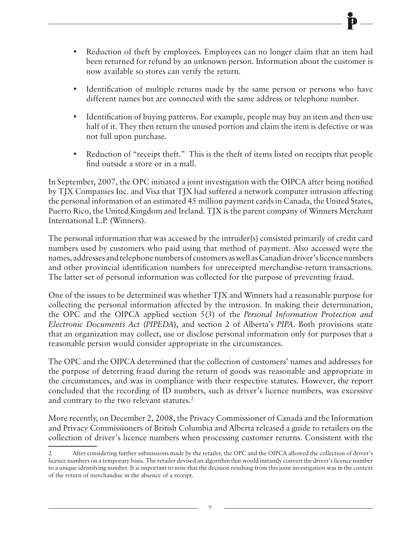- Reduction of theft by employees. Employees can no longer claim that an item had been returned for refund by an unknown person. Information about the customer is now available so stores can verify the return.
- Identification of multiple returns made by the same person or persons who have different names but are connected with the same address or telephone number.
- Identification of buying patterns. For example, people may buy an item and then use half of it. They then return the unused portion and claim the item is defective or was not full upon purchase.
- Reduction of "receipt theft." This is the theft of items listed on receipts that people find outside a store or in a mall.

In September, 2007, the OPC initiated a joint investigation with the OIPCA after being notified by TJX Companies Inc. and Visa that TJX had suffered a network computer intrusion affecting the personal information of an estimated 45 million payment cards in Canada, the United States, Puerto Rico, the United Kingdom and Ireland. TJX is the parent company of Winners Merchant International L.P. (Winners).

The personal information that was accessed by the intruder(s) consisted primarily of credit card numbers used by customers who paid using that method of payment. Also accessed were the names, addresses and telephone numbers of customers as well as Canadian driver's licence numbers and other provincial identification numbers for unreceipted merchandise-return transactions. The latter set of personal information was collected for the purpose of preventing fraud.

One of the issues to be determined was whether TJX and Winners had a reasonable purpose for collecting the personal information affected by the intrusion. In making their determination, the OPC and the OIPCA applied section 5(3) of the *Personal Information Protection and Electronic Documents Act* (*PIPEDA*), and section 2 of Alberta's *PIPA*. Both provisions state that an organization may collect, use or disclose personal information only for purposes that a reasonable person would consider appropriate in the circumstances.

The OPC and the OIPCA determined that the collection of customers' names and addresses for the purpose of deterring fraud during the return of goods was reasonable and appropriate in the circumstances, and was in compliance with their respective statutes. However, the report concluded that the recording of ID numbers, such as driver's licence numbers, was excessive and contrary to the two relevant statutes.<sup>2</sup>

More recently, on December 2, 2008, the Privacy Commissioner of Canada and the Information and Privacy Commissioners of British Columbia and Alberta released a guide to retailers on the collection of driver's licence numbers when processing customer returns. Consistent with the

<sup>2</sup> After considering further submissions made by the retailer, the OPC and the OIPCA allowed the collection of driver's licence numbers on a temporary basis. The retailer devised an algorithm that would instantly convert the driver's licence number to a unique identifying number. It is important to note that the decision resulting from this joint investigation was in the context of the return of merchandise in the absence of a receipt.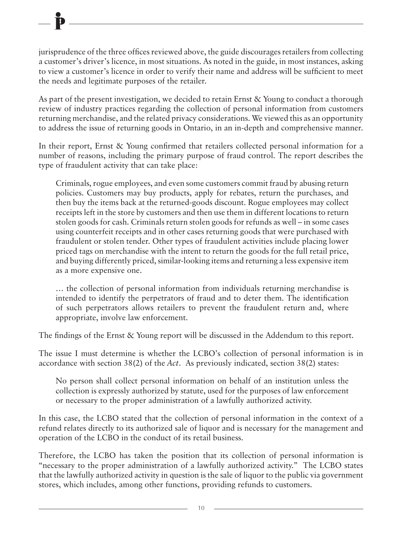jurisprudence of the three offices reviewed above, the guide discourages retailers from collecting a customer's driver's licence, in most situations. As noted in the guide, in most instances, asking to view a customer's licence in order to verify their name and address will be sufficient to meet the needs and legitimate purposes of the retailer.

As part of the present investigation, we decided to retain Ernst & Young to conduct a thorough review of industry practices regarding the collection of personal information from customers returning merchandise, and the related privacy considerations. We viewed this as an opportunity to address the issue of returning goods in Ontario, in an in-depth and comprehensive manner.

In their report, Ernst & Young confirmed that retailers collected personal information for a number of reasons, including the primary purpose of fraud control. The report describes the type of fraudulent activity that can take place:

Criminals, rogue employees, and even some customers commit fraud by abusing return policies. Customers may buy products, apply for rebates, return the purchases, and then buy the items back at the returned-goods discount. Rogue employees may collect receipts left in the store by customers and then use them in different locations to return stolen goods for cash. Criminals return stolen goods for refunds as well – in some cases using counterfeit receipts and in other cases returning goods that were purchased with fraudulent or stolen tender. Other types of fraudulent activities include placing lower priced tags on merchandise with the intent to return the goods for the full retail price, and buying differently priced, similar-looking items and returning a less expensive item as a more expensive one.

… the collection of personal information from individuals returning merchandise is intended to identify the perpetrators of fraud and to deter them. The identification of such perpetrators allows retailers to prevent the fraudulent return and, where appropriate, involve law enforcement.

The findings of the Ernst & Young report will be discussed in the Addendum to this report.

The issue I must determine is whether the LCBO's collection of personal information is in accordance with section 38(2) of the *Act*. As previously indicated, section 38(2) states:

No person shall collect personal information on behalf of an institution unless the collection is expressly authorized by statute, used for the purposes of law enforcement or necessary to the proper administration of a lawfully authorized activity.

In this case, the LCBO stated that the collection of personal information in the context of a refund relates directly to its authorized sale of liquor and is necessary for the management and operation of the LCBO in the conduct of its retail business.

Therefore, the LCBO has taken the position that its collection of personal information is "necessary to the proper administration of a lawfully authorized activity." The LCBO states that the lawfully authorized activity in question is the sale of liquor to the public via government stores, which includes, among other functions, providing refunds to customers.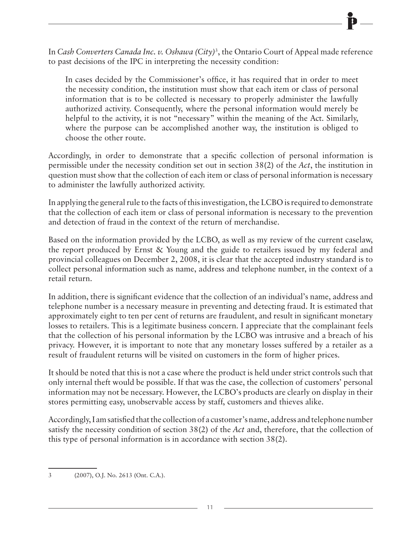In *Cash Converters Canada Inc. v. Oshawa (City)*<sup>3</sup> , the Ontario Court of Appeal made reference to past decisions of the IPC in interpreting the necessity condition:

In cases decided by the Commissioner's office, it has required that in order to meet the necessity condition, the institution must show that each item or class of personal information that is to be collected is necessary to properly administer the lawfully authorized activity. Consequently, where the personal information would merely be helpful to the activity, it is not "necessary" within the meaning of the Act. Similarly, where the purpose can be accomplished another way, the institution is obliged to choose the other route.

Accordingly, in order to demonstrate that a specific collection of personal information is permissible under the necessity condition set out in section 38(2) of the *Act*, the institution in question must show that the collection of each item or class of personal information is necessary to administer the lawfully authorized activity.

In applying the general rule to the facts of this investigation, the LCBO is required to demonstrate that the collection of each item or class of personal information is necessary to the prevention and detection of fraud in the context of the return of merchandise.

Based on the information provided by the LCBO, as well as my review of the current caselaw, the report produced by Ernst & Young and the guide to retailers issued by my federal and provincial colleagues on December 2, 2008, it is clear that the accepted industry standard is to collect personal information such as name, address and telephone number, in the context of a retail return.

In addition, there is significant evidence that the collection of an individual's name, address and telephone number is a necessary measure in preventing and detecting fraud. It is estimated that approximately eight to ten per cent of returns are fraudulent, and result in significant monetary losses to retailers. This is a legitimate business concern. I appreciate that the complainant feels that the collection of his personal information by the LCBO was intrusive and a breach of his privacy. However, it is important to note that any monetary losses suffered by a retailer as a result of fraudulent returns will be visited on customers in the form of higher prices.

It should be noted that this is not a case where the product is held under strict controls such that only internal theft would be possible. If that was the case, the collection of customers' personal information may not be necessary. However, the LCBO's products are clearly on display in their stores permitting easy, unobservable access by staff, customers and thieves alike.

Accordingly, I am satisfied that the collection of a customer's name, address and telephone number satisfy the necessity condition of section 38(2) of the *Act* and, therefore, that the collection of this type of personal information is in accordance with section 38(2).

3 (2007), O.J. No. 2613 (Ont. C.A.).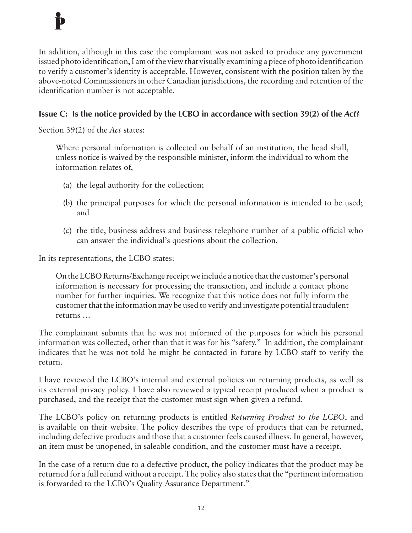In addition, although in this case the complainant was not asked to produce any government issued photo identification, I am of the view that visually examining a piece of photo identification to verify a customer's identity is acceptable. However, consistent with the position taken by the above-noted Commissioners in other Canadian jurisdictions, the recording and retention of the identification number is not acceptable.

#### **Issue C:** Is the notice provided by the LCBO in accordance with section 39(2) of the *Act*?

Section 39(2) of the *Act* states:

Where personal information is collected on behalf of an institution, the head shall, unless notice is waived by the responsible minister, inform the individual to whom the information relates of,

- (a) the legal authority for the collection;
- (b) the principal purposes for which the personal information is intended to be used; and
- (c) the title, business address and business telephone number of a public official who can answer the individual's questions about the collection.

In its representations, the LCBO states:

On the LCBO Returns/Exchange receipt we include a notice that the customer's personal information is necessary for processing the transaction, and include a contact phone number for further inquiries. We recognize that this notice does not fully inform the customer that the information may be used to verify and investigate potential fraudulent returns …

The complainant submits that he was not informed of the purposes for which his personal information was collected, other than that it was for his "safety." In addition, the complainant indicates that he was not told he might be contacted in future by LCBO staff to verify the return.

I have reviewed the LCBO's internal and external policies on returning products, as well as its external privacy policy. I have also reviewed a typical receipt produced when a product is purchased, and the receipt that the customer must sign when given a refund.

The LCBO's policy on returning products is entitled *Returning Product to the LCBO*, and is available on their website. The policy describes the type of products that can be returned, including defective products and those that a customer feels caused illness. In general, however, an item must be unopened, in saleable condition, and the customer must have a receipt.

In the case of a return due to a defective product, the policy indicates that the product may be returned for a full refund without a receipt. The policy also states that the "pertinent information is forwarded to the LCBO's Quality Assurance Department."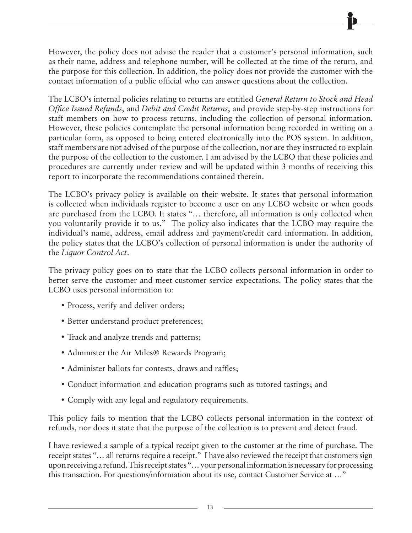However, the policy does not advise the reader that a customer's personal information, such as their name, address and telephone number, will be collected at the time of the return, and the purpose for this collection. In addition, the policy does not provide the customer with the contact information of a public official who can answer questions about the collection.

The LCBO's internal policies relating to returns are entitled *General Return to Stock and Head Office Issued Refunds*, and *Debit and Credit Returns*, and provide step-by-step instructions for staff members on how to process returns, including the collection of personal information. However, these policies contemplate the personal information being recorded in writing on a particular form, as opposed to being entered electronically into the POS system. In addition, staff members are not advised of the purpose of the collection, nor are they instructed to explain the purpose of the collection to the customer. I am advised by the LCBO that these policies and procedures are currently under review and will be updated within 3 months of receiving this report to incorporate the recommendations contained therein.

The LCBO's privacy policy is available on their website. It states that personal information is collected when individuals register to become a user on any LCBO website or when goods are purchased from the LCBO. It states "… therefore, all information is only collected when you voluntarily provide it to us." The policy also indicates that the LCBO may require the individual's name, address, email address and payment/credit card information. In addition, the policy states that the LCBO's collection of personal information is under the authority of the *Liquor Control Act*.

The privacy policy goes on to state that the LCBO collects personal information in order to better serve the customer and meet customer service expectations. The policy states that the LCBO uses personal information to:

- Process, verify and deliver orders;
- Better understand product preferences;
- Track and analyze trends and patterns;
- Administer the Air Miles® Rewards Program;
- Administer ballots for contests, draws and raffles;
- Conduct information and education programs such as tutored tastings; and
- Comply with any legal and regulatory requirements.

This policy fails to mention that the LCBO collects personal information in the context of refunds, nor does it state that the purpose of the collection is to prevent and detect fraud.

I have reviewed a sample of a typical receipt given to the customer at the time of purchase. The receipt states "… all returns require a receipt." I have also reviewed the receipt that customers sign upon receiving a refund. This receipt states "… your personal information is necessary for processing this transaction. For questions/information about its use, contact Customer Service at …"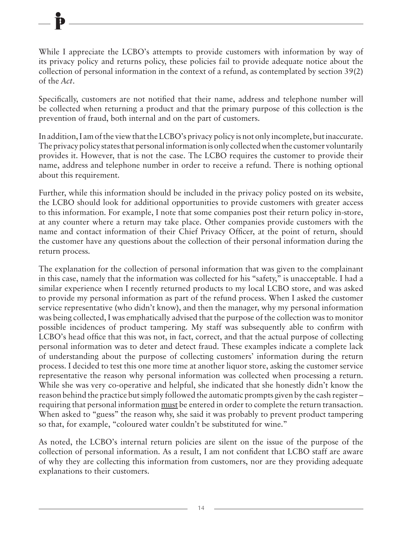While I appreciate the LCBO's attempts to provide customers with information by way of its privacy policy and returns policy, these policies fail to provide adequate notice about the collection of personal information in the context of a refund, as contemplated by section 39(2) of the *Act*.

Specifically, customers are not notified that their name, address and telephone number will be collected when returning a product and that the primary purpose of this collection is the prevention of fraud, both internal and on the part of customers.

In addition, I am of the view that the LCBO's privacy policy is not only incomplete, but inaccurate. The privacy policy states that personal information is only collected when the customer voluntarily provides it. However, that is not the case. The LCBO requires the customer to provide their name, address and telephone number in order to receive a refund. There is nothing optional about this requirement.

Further, while this information should be included in the privacy policy posted on its website, the LCBO should look for additional opportunities to provide customers with greater access to this information. For example, I note that some companies post their return policy in-store, at any counter where a return may take place. Other companies provide customers with the name and contact information of their Chief Privacy Officer, at the point of return, should the customer have any questions about the collection of their personal information during the return process.

The explanation for the collection of personal information that was given to the complainant in this case, namely that the information was collected for his "safety," is unacceptable. I had a similar experience when I recently returned products to my local LCBO store, and was asked to provide my personal information as part of the refund process. When I asked the customer service representative (who didn't know), and then the manager, why my personal information was being collected, I was emphatically advised that the purpose of the collection was to monitor possible incidences of product tampering. My staff was subsequently able to confirm with LCBO's head office that this was not, in fact, correct, and that the actual purpose of collecting personal information was to deter and detect fraud. These examples indicate a complete lack of understanding about the purpose of collecting customers' information during the return process. I decided to test this one more time at another liquor store, asking the customer service representative the reason why personal information was collected when processing a return. While she was very co-operative and helpful, she indicated that she honestly didn't know the reason behind the practice but simply followed the automatic prompts given by the cash register – requiring that personal information must be entered in order to complete the return transaction. When asked to "guess" the reason why, she said it was probably to prevent product tampering so that, for example, "coloured water couldn't be substituted for wine."

As noted, the LCBO's internal return policies are silent on the issue of the purpose of the collection of personal information. As a result, I am not confident that LCBO staff are aware of why they are collecting this information from customers, nor are they providing adequate explanations to their customers.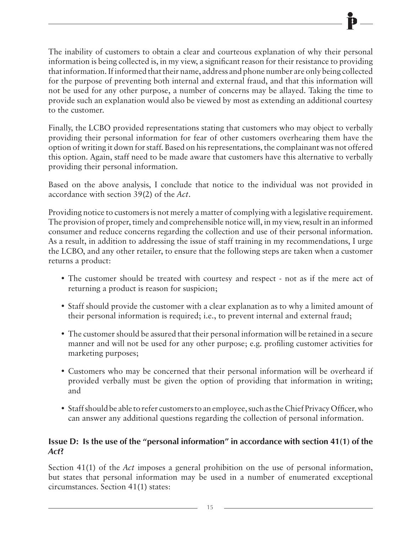The inability of customers to obtain a clear and courteous explanation of why their personal information is being collected is, in my view, a significant reason for their resistance to providing that information. If informed that their name, address and phone number are only being collected for the purpose of preventing both internal and external fraud, and that this information will not be used for any other purpose, a number of concerns may be allayed. Taking the time to provide such an explanation would also be viewed by most as extending an additional courtesy to the customer.

Finally, the LCBO provided representations stating that customers who may object to verbally providing their personal information for fear of other customers overhearing them have the option of writing it down for staff. Based on his representations, the complainant was not offered this option. Again, staff need to be made aware that customers have this alternative to verbally providing their personal information.

Based on the above analysis, I conclude that notice to the individual was not provided in accordance with section 39(2) of the *Act*.

Providing notice to customers is not merely a matter of complying with a legislative requirement. The provision of proper, timely and comprehensible notice will, in my view, result in an informed consumer and reduce concerns regarding the collection and use of their personal information. As a result, in addition to addressing the issue of staff training in my recommendations, I urge the LCBO, and any other retailer, to ensure that the following steps are taken when a customer returns a product:

- The customer should be treated with courtesy and respect not as if the mere act of returning a product is reason for suspicion;
- Staff should provide the customer with a clear explanation as to why a limited amount of their personal information is required; i.e., to prevent internal and external fraud;
- The customer should be assured that their personal information will be retained in a secure manner and will not be used for any other purpose; e.g. profiling customer activities for marketing purposes;
- Customers who may be concerned that their personal information will be overheard if provided verbally must be given the option of providing that information in writing; and
- Staff should be able to refer customers to an employee, such as the Chief Privacy Officer, who can answer any additional questions regarding the collection of personal information.

#### **Issue D: Is the use of the "personal information" in accordance with section 41(1) of the**  *Act***?**

Section 41(1) of the *Act* imposes a general prohibition on the use of personal information, but states that personal information may be used in a number of enumerated exceptional circumstances. Section 41(1) states: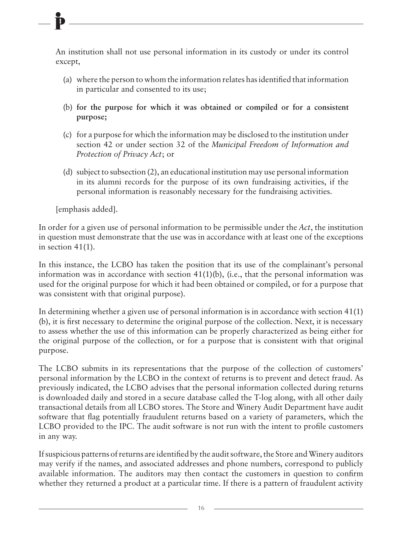An institution shall not use personal information in its custody or under its control except,

- (a) where the person to whom the information relates has identified that information in particular and consented to its use;
- (b) **for the purpose for which it was obtained or compiled or for a consistent purpose;**
- (c) for a purpose for which the information may be disclosed to the institution under section 42 or under section 32 of the *Municipal Freedom of Information and Protection of Privacy Act*; or
- (d) subject to subsection (2), an educational institution may use personal information in its alumni records for the purpose of its own fundraising activities, if the personal information is reasonably necessary for the fundraising activities.

[emphasis added].

In order for a given use of personal information to be permissible under the *Act*, the institution in question must demonstrate that the use was in accordance with at least one of the exceptions in section 41(1).

In this instance, the LCBO has taken the position that its use of the complainant's personal information was in accordance with section  $41(1)(b)$ , (i.e., that the personal information was used for the original purpose for which it had been obtained or compiled, or for a purpose that was consistent with that original purpose).

In determining whether a given use of personal information is in accordance with section 41(1) (b), it is first necessary to determine the original purpose of the collection. Next, it is necessary to assess whether the use of this information can be properly characterized as being either for the original purpose of the collection, or for a purpose that is consistent with that original purpose.

The LCBO submits in its representations that the purpose of the collection of customers' personal information by the LCBO in the context of returns is to prevent and detect fraud. As previously indicated, the LCBO advises that the personal information collected during returns is downloaded daily and stored in a secure database called the T-log along, with all other daily transactional details from all LCBO stores. The Store and Winery Audit Department have audit software that flag potentially fraudulent returns based on a variety of parameters, which the LCBO provided to the IPC. The audit software is not run with the intent to profile customers in any way.

If suspicious patterns of returns are identified by the audit software, the Store and Winery auditors may verify if the names, and associated addresses and phone numbers, correspond to publicly available information. The auditors may then contact the customers in question to confirm whether they returned a product at a particular time. If there is a pattern of fraudulent activity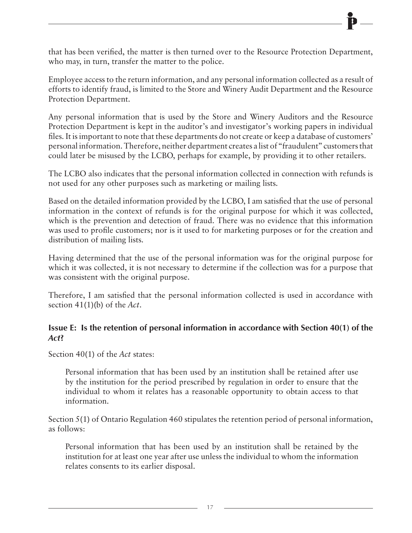that has been verified, the matter is then turned over to the Resource Protection Department, who may, in turn, transfer the matter to the police.

Employee access to the return information, and any personal information collected as a result of efforts to identify fraud, is limited to the Store and Winery Audit Department and the Resource Protection Department.

Any personal information that is used by the Store and Winery Auditors and the Resource Protection Department is kept in the auditor's and investigator's working papers in individual files. It is important to note that these departments do not create or keep a database of customers' personal information. Therefore, neither department creates a list of "fraudulent" customers that could later be misused by the LCBO, perhaps for example, by providing it to other retailers.

The LCBO also indicates that the personal information collected in connection with refunds is not used for any other purposes such as marketing or mailing lists.

Based on the detailed information provided by the LCBO, I am satisfied that the use of personal information in the context of refunds is for the original purpose for which it was collected, which is the prevention and detection of fraud. There was no evidence that this information was used to profile customers; nor is it used to for marketing purposes or for the creation and distribution of mailing lists.

Having determined that the use of the personal information was for the original purpose for which it was collected, it is not necessary to determine if the collection was for a purpose that was consistent with the original purpose.

Therefore, I am satisfied that the personal information collected is used in accordance with section 41(1)(b) of the *Act*.

#### **Issue E: Is the retention of personal information in accordance with Section 40(1) of the**  *Act***?**

Section 40(1) of the *Act* states:

Personal information that has been used by an institution shall be retained after use by the institution for the period prescribed by regulation in order to ensure that the individual to whom it relates has a reasonable opportunity to obtain access to that information.

Section 5(1) of Ontario Regulation 460 stipulates the retention period of personal information, as follows:

Personal information that has been used by an institution shall be retained by the institution for at least one year after use unless the individual to whom the information relates consents to its earlier disposal.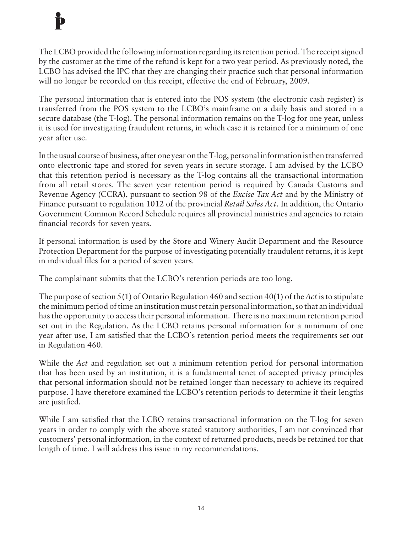The LCBO provided the following information regarding its retention period. The receipt signed by the customer at the time of the refund is kept for a two year period. As previously noted, the LCBO has advised the IPC that they are changing their practice such that personal information will no longer be recorded on this receipt, effective the end of February, 2009.

The personal information that is entered into the POS system (the electronic cash register) is transferred from the POS system to the LCBO's mainframe on a daily basis and stored in a secure database (the T-log). The personal information remains on the T-log for one year, unless it is used for investigating fraudulent returns, in which case it is retained for a minimum of one year after use.

In the usual course of business, after one year on the T-log, personal information is then transferred onto electronic tape and stored for seven years in secure storage. I am advised by the LCBO that this retention period is necessary as the T-log contains all the transactional information from all retail stores. The seven year retention period is required by Canada Customs and Revenue Agency (CCRA), pursuant to section 98 of the *Excise Tax Act* and by the Ministry of Finance pursuant to regulation 1012 of the provincial *Retail Sales Act*. In addition, the Ontario Government Common Record Schedule requires all provincial ministries and agencies to retain financial records for seven years.

If personal information is used by the Store and Winery Audit Department and the Resource Protection Department for the purpose of investigating potentially fraudulent returns, it is kept in individual files for a period of seven years.

The complainant submits that the LCBO's retention periods are too long.

The purpose of section 5(1) of Ontario Regulation 460 and section 40(1) of the *Act* is to stipulate the minimum period of time an institution must retain personal information, so that an individual has the opportunity to access their personal information. There is no maximum retention period set out in the Regulation. As the LCBO retains personal information for a minimum of one year after use, I am satisfied that the LCBO's retention period meets the requirements set out in Regulation 460.

While the *Act* and regulation set out a minimum retention period for personal information that has been used by an institution, it is a fundamental tenet of accepted privacy principles that personal information should not be retained longer than necessary to achieve its required purpose. I have therefore examined the LCBO's retention periods to determine if their lengths are justified.

While I am satisfied that the LCBO retains transactional information on the T-log for seven years in order to comply with the above stated statutory authorities, I am not convinced that customers' personal information, in the context of returned products, needs be retained for that length of time. I will address this issue in my recommendations.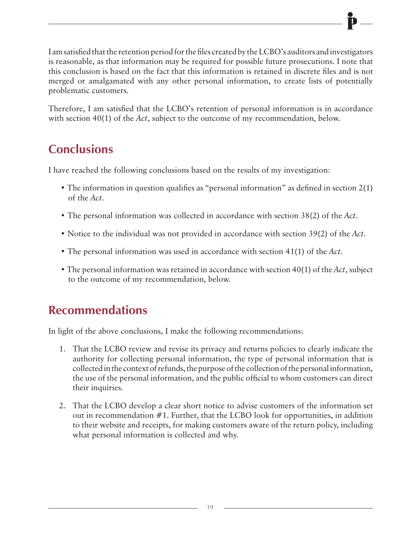I am satisfied that the retention period for the files created by the LCBO's auditors and investigators is reasonable, as that information may be required for possible future prosecutions. I note that this conclusion is based on the fact that this information is retained in discrete files and is not merged or amalgamated with any other personal information, to create lists of potentially problematic customers.

Therefore, I am satisfied that the LCBO's retention of personal information is in accordance with section 40(1) of the *Act*, subject to the outcome of my recommendation, below.

### **Conclusions**

I have reached the following conclusions based on the results of my investigation:

- The information in question qualifies as "personal information" as defined in section 2(1) of the *Act*.
- The personal information was collected in accordance with section 38(2) of the *Act*.
- Notice to the individual was not provided in accordance with section 39(2) of the *Act*.
- The personal information was used in accordance with section 41(1) of the *Act*.
- The personal information was retained in accordance with section 40(1) of the *Act*, subject to the outcome of my recommendation, below.

### **Recommendations**

In light of the above conclusions, I make the following recommendations:

- 1. That the LCBO review and revise its privacy and returns policies to clearly indicate the authority for collecting personal information, the type of personal information that is collected in the context of refunds, the purpose of the collection of the personal information, the use of the personal information, and the public official to whom customers can direct their inquiries.
- 2. That the LCBO develop a clear short notice to advise customers of the information set out in recommendation #1. Further, that the LCBO look for opportunities, in addition to their website and receipts, for making customers aware of the return policy, including what personal information is collected and why.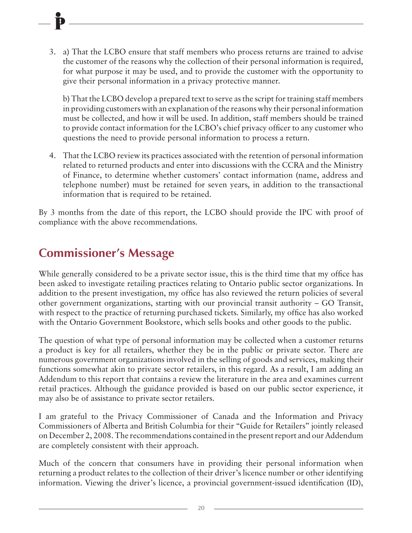3. a) That the LCBO ensure that staff members who process returns are trained to advise the customer of the reasons why the collection of their personal information is required, for what purpose it may be used, and to provide the customer with the opportunity to give their personal information in a privacy protective manner.

 b) That the LCBO develop a prepared text to serve as the script for training staff members in providing customers with an explanation of the reasons why their personal information must be collected, and how it will be used. In addition, staff members should be trained to provide contact information for the LCBO's chief privacy officer to any customer who questions the need to provide personal information to process a return.

4. That the LCBO review its practices associated with the retention of personal information related to returned products and enter into discussions with the CCRA and the Ministry of Finance, to determine whether customers' contact information (name, address and telephone number) must be retained for seven years, in addition to the transactional information that is required to be retained.

By 3 months from the date of this report, the LCBO should provide the IPC with proof of compliance with the above recommendations.

### **Commissioner's Message**

While generally considered to be a private sector issue, this is the third time that my office has been asked to investigate retailing practices relating to Ontario public sector organizations. In addition to the present investigation, my office has also reviewed the return policies of several other government organizations, starting with our provincial transit authority – GO Transit, with respect to the practice of returning purchased tickets. Similarly, my office has also worked with the Ontario Government Bookstore, which sells books and other goods to the public.

The question of what type of personal information may be collected when a customer returns a product is key for all retailers, whether they be in the public or private sector. There are numerous government organizations involved in the selling of goods and services, making their functions somewhat akin to private sector retailers, in this regard. As a result, I am adding an Addendum to this report that contains a review the literature in the area and examines current retail practices. Although the guidance provided is based on our public sector experience, it may also be of assistance to private sector retailers.

I am grateful to the Privacy Commissioner of Canada and the Information and Privacy Commissioners of Alberta and British Columbia for their "Guide for Retailers" jointly released on December 2, 2008. The recommendations contained in the present report and our Addendum are completely consistent with their approach.

Much of the concern that consumers have in providing their personal information when returning a product relates to the collection of their driver's licence number or other identifying information. Viewing the driver's licence, a provincial government-issued identification (ID),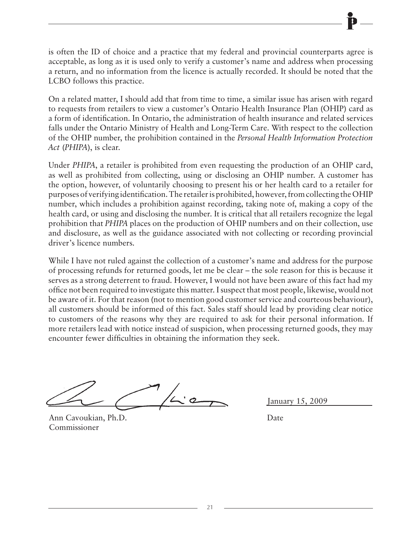is often the ID of choice and a practice that my federal and provincial counterparts agree is acceptable, as long as it is used only to verify a customer's name and address when processing a return, and no information from the licence is actually recorded. It should be noted that the LCBO follows this practice.

On a related matter, I should add that from time to time, a similar issue has arisen with regard to requests from retailers to view a customer's Ontario Health Insurance Plan (OHIP) card as a form of identification. In Ontario, the administration of health insurance and related services falls under the Ontario Ministry of Health and Long-Term Care. With respect to the collection of the OHIP number, the prohibition contained in the *Personal Health Information Protection Act* (*PHIPA*), is clear.

Under *PHIPA*, a retailer is prohibited from even requesting the production of an OHIP card, as well as prohibited from collecting, using or disclosing an OHIP number. A customer has the option, however, of voluntarily choosing to present his or her health card to a retailer for purposes of verifying identification. The retailer is prohibited, however, from collecting the OHIP number, which includes a prohibition against recording, taking note of, making a copy of the health card, or using and disclosing the number. It is critical that all retailers recognize the legal prohibition that *PHIPA* places on the production of OHIP numbers and on their collection, use and disclosure, as well as the guidance associated with not collecting or recording provincial driver's licence numbers.

While I have not ruled against the collection of a customer's name and address for the purpose of processing refunds for returned goods, let me be clear – the sole reason for this is because it serves as a strong deterrent to fraud. However, I would not have been aware of this fact had my office not been required to investigate this matter. I suspect that most people, likewise, would not be aware of it. For that reason (not to mention good customer service and courteous behaviour), all customers should be informed of this fact. Sales staff should lead by providing clear notice to customers of the reasons why they are required to ask for their personal information. If more retailers lead with notice instead of suspicion, when processing returned goods, they may encounter fewer difficulties in obtaining the information they seek.

Ann Cavoukian, Ph.D. Date Commissioner

January 15, 2009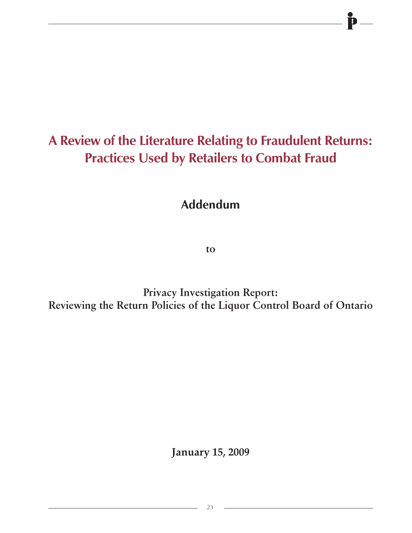# **A Review of the Literature Relating to Fraudulent Returns: Practices Used by Retailers to Combat Fraud**

**Addendum**

**to**

**Privacy Investigation Report: Reviewing the Return Policies of the Liquor Control Board of Ontario**

**January 15, 2009**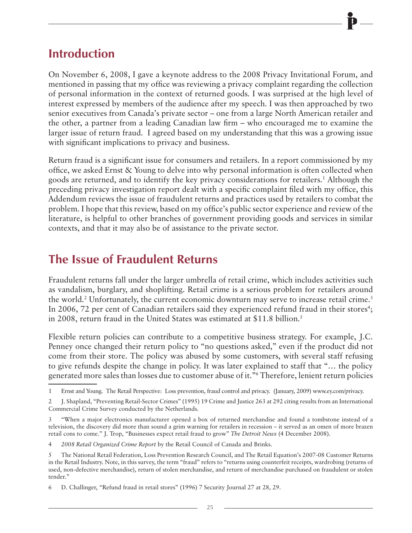### **Introduction**

On November 6, 2008, I gave a keynote address to the 2008 Privacy Invitational Forum, and mentioned in passing that my office was reviewing a privacy complaint regarding the collection of personal information in the context of returned goods. I was surprised at the high level of interest expressed by members of the audience after my speech. I was then approached by two senior executives from Canada's private sector – one from a large North American retailer and the other, a partner from a leading Canadian law firm – who encouraged me to examine the larger issue of return fraud. I agreed based on my understanding that this was a growing issue with significant implications to privacy and business.

Return fraud is a significant issue for consumers and retailers. In a report commissioned by my office, we asked Ernst & Young to delve into why personal information is often collected when goods are returned, and to identify the key privacy considerations for retailers.1 Although the preceding privacy investigation report dealt with a specific complaint filed with my office, this Addendum reviews the issue of fraudulent returns and practices used by retailers to combat the problem. I hope that this review, based on my office's public sector experience and review of the literature, is helpful to other branches of government providing goods and services in similar contexts, and that it may also be of assistance to the private sector.

### **The Issue of Fraudulent Returns**

Fraudulent returns fall under the larger umbrella of retail crime, which includes activities such as vandalism, burglary, and shoplifting. Retail crime is a serious problem for retailers around the world.<sup>2</sup> Unfortunately, the current economic downturn may serve to increase retail crime.<sup>3</sup> In 2006, 72 per cent of Canadian retailers said they experienced refund fraud in their stores<sup>4</sup>; in 2008, return fraud in the United States was estimated at \$11.8 billion.<sup>5</sup>

Flexible return policies can contribute to a competitive business strategy. For example, J.C. Penney once changed their return policy to "no questions asked," even if the product did not come from their store. The policy was abused by some customers, with several staff refusing to give refunds despite the change in policy. It was later explained to staff that "… the policy generated more sales than losses due to customer abuse of it."6 Therefore, lenient return policies

<sup>1</sup> Ernst and Young. The Retail Perspective: Loss prevention, fraud control and privacy. (January, 2009) www.ey.com/privacy.

<sup>2</sup> J. Shapland, "Preventing Retail-Sector Crimes" (1995) 19 Crime and Justice 263 at 292 citing results from an International Commercial Crime Survey conducted by the Netherlands.

<sup>3</sup> "When a major electronics manufacturer opened a box of returned merchandise and found a tombstone instead of a television, the discovery did more than sound a grim warning for retailers in recession – it served as an omen of more brazen retail cons to come." J. Trop, "Businesses expect retail fraud to grow" *The Detroit News* (4 December 2008).

<sup>4</sup> *2008 Retail Organized Crime Report* by the Retail Council of Canada and Brinks.

<sup>5</sup> The National Retail Federation, Loss Prevention Research Council, and The Retail Equation's 2007-08 Customer Returns in the Retail Industry. Note, in this survey, the term "fraud" refers to "returns using counterfeit receipts, wardrobing (returns of used, non-defective merchandise), return of stolen merchandise, and return of merchandise purchased on fraudulent or stolen tender."

<sup>6</sup> D. Challinger, "Refund fraud in retail stores" (1996) 7 Security Journal 27 at 28, 29.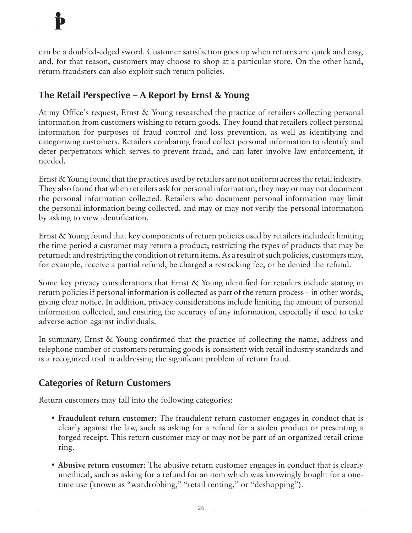can be a doubled-edged sword. Customer satisfaction goes up when returns are quick and easy, and, for that reason, customers may choose to shop at a particular store. On the other hand, return fraudsters can also exploit such return policies.

#### **The Retail Perspective – A Report by Ernst & Young**

At my Office's request, Ernst & Young researched the practice of retailers collecting personal information from customers wishing to return goods. They found that retailers collect personal information for purposes of fraud control and loss prevention, as well as identifying and categorizing customers. Retailers combating fraud collect personal information to identify and deter perpetrators which serves to prevent fraud, and can later involve law enforcement, if needed.

Ernst & Young found that the practices used by retailers are not uniform across the retail industry. They also found that when retailers ask for personal information, they may or may not document the personal information collected. Retailers who document personal information may limit the personal information being collected, and may or may not verify the personal information by asking to view identification.

Ernst & Young found that key components of return policies used by retailers included: limiting the time period a customer may return a product; restricting the types of products that may be returned; and restricting the condition of return items. As a result of such policies, customers may, for example, receive a partial refund, be charged a restocking fee, or be denied the refund.

Some key privacy considerations that Ernst & Young identified for retailers include stating in return policies if personal information is collected as part of the return process – in other words, giving clear notice. In addition, privacy considerations include limiting the amount of personal information collected, and ensuring the accuracy of any information, especially if used to take adverse action against individuals.

In summary, Ernst & Young confirmed that the practice of collecting the name, address and telephone number of customers returning goods is consistent with retail industry standards and is a recognized tool in addressing the significant problem of return fraud.

#### **Categories of Return Customers**

Return customers may fall into the following categories:

- **Fraudulent return customer:** The fraudulent return customer engages in conduct that is clearly against the law, such as asking for a refund for a stolen product or presenting a forged receipt. This return customer may or may not be part of an organized retail crime ring.
- **Abusive return customer**: The abusive return customer engages in conduct that is clearly unethical, such as asking for a refund for an item which was knowingly bought for a onetime use (known as "wardrobbing," "retail renting," or "deshopping").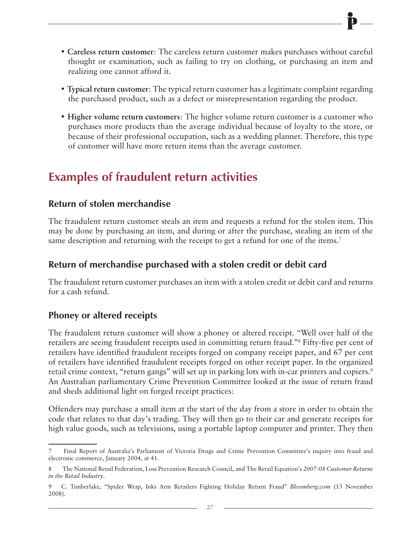- **Careless return customer**: The careless return customer makes purchases without careful thought or examination, such as failing to try on clothing, or purchasing an item and realizing one cannot afford it.
- **Typical return customer**: The typical return customer has a legitimate complaint regarding the purchased product, such as a defect or misrepresentation regarding the product.
- **Higher volume return customers**: The higher volume return customer is a customer who purchases more products than the average individual because of loyalty to the store, or because of their professional occupation, such as a wedding planner. Therefore, this type of customer will have more return items than the average customer.

### **Examples of fraudulent return activities**

#### **Return of stolen merchandise**

The fraudulent return customer steals an item and requests a refund for the stolen item. This may be done by purchasing an item, and during or after the purchase, stealing an item of the same description and returning with the receipt to get a refund for one of the items.<sup>7</sup>

#### **Return of merchandise purchased with a stolen credit or debit card**

The fraudulent return customer purchases an item with a stolen credit or debit card and returns for a cash refund.

#### **Phoney or altered receipts**

The fraudulent return customer will show a phoney or altered receipt. "Well over half of the retailers are seeing fraudulent receipts used in committing return fraud."8 Fifty-five per cent of retailers have identified fraudulent receipts forged on company receipt paper, and 67 per cent of retailers have identified fraudulent receipts forged on other receipt paper. In the organized retail crime context, "return gangs" will set up in parking lots with in-car printers and copiers.<sup>9</sup> An Australian parliamentary Crime Prevention Committee looked at the issue of return fraud and sheds additional light on forged receipt practices:

Offenders may purchase a small item at the start of the day from a store in order to obtain the code that relates to that day's trading. They will then go to their car and generate receipts for high value goods, such as televisions, using a portable laptop computer and printer. They then

<sup>7</sup> Final Report of Australia's Parliament of Victoria Drugs and Crime Prevention Committee's inquiry into fraud and electronic commerce, January 2004, at 41.

<sup>8</sup> The National Retail Federation, Loss Prevention Research Council, and The Retail Equation's *2007-08 Customer Returns in the Retail Industry*.

<sup>9</sup> C. Timberlake, "Spider Wrap, Inks Arm Retailers Fighting Holiday Return Fraud" *Bloomberg.com* (13 November 2008).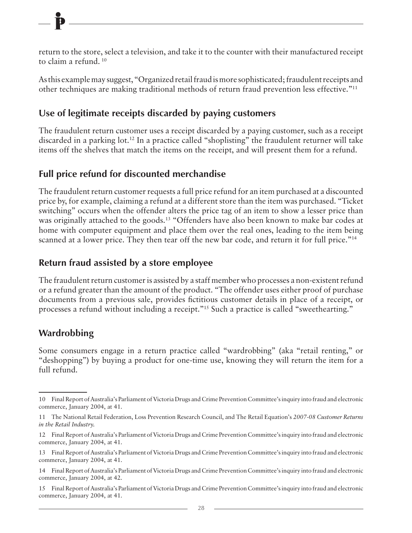return to the store, select a television, and take it to the counter with their manufactured receipt to claim a refund. 10

As this example may suggest, "Organized retail fraud is more sophisticated; fraudulent receipts and other techniques are making traditional methods of return fraud prevention less effective."11

#### **Use of legitimate receipts discarded by paying customers**

The fraudulent return customer uses a receipt discarded by a paying customer, such as a receipt discarded in a parking lot.12 In a practice called "shoplisting" the fraudulent returner will take items off the shelves that match the items on the receipt, and will present them for a refund.

#### **Full price refund for discounted merchandise**

The fraudulent return customer requests a full price refund for an item purchased at a discounted price by, for example, claiming a refund at a different store than the item was purchased. "Ticket switching" occurs when the offender alters the price tag of an item to show a lesser price than was originally attached to the goods.<sup>13</sup> "Offenders have also been known to make bar codes at home with computer equipment and place them over the real ones, leading to the item being scanned at a lower price. They then tear off the new bar code, and return it for full price."<sup>14</sup>

#### **Return fraud assisted by a store employee**

The fraudulent return customer is assisted by a staff member who processes a non-existent refund or a refund greater than the amount of the product. "The offender uses either proof of purchase documents from a previous sale, provides fictitious customer details in place of a receipt, or processes a refund without including a receipt."<sup>15</sup> Such a practice is called "sweethearting."

#### **Wardrobbing**

Some consumers engage in a return practice called "wardrobbing" (aka "retail renting," or "deshopping") by buying a product for one-time use, knowing they will return the item for a full refund.

<sup>10</sup> Final Report of Australia's Parliament of Victoria Drugs and Crime Prevention Committee's inquiry into fraud and electronic commerce, January 2004, at 41.

<sup>11</sup> The National Retail Federation, Loss Prevention Research Council, and The Retail Equation's *2007-08 Customer Returns in the Retail Industry.*

<sup>12</sup> Final Report of Australia's Parliament of Victoria Drugs and Crime Prevention Committee's inquiry into fraud and electronic commerce, January 2004, at 41.

<sup>13</sup> Final Report of Australia's Parliament of Victoria Drugs and Crime Prevention Committee's inquiry into fraud and electronic commerce, January 2004, at 41.

<sup>14</sup> Final Report of Australia's Parliament of Victoria Drugs and Crime Prevention Committee's inquiry into fraud and electronic commerce, January 2004, at 42.

<sup>15</sup> Final Report of Australia's Parliament of Victoria Drugs and Crime Prevention Committee's inquiry into fraud and electronic commerce, January 2004, at 41.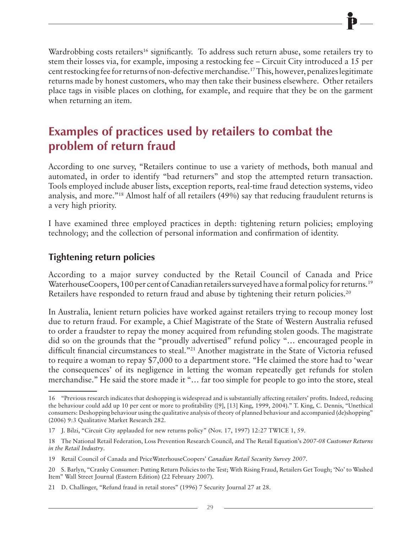Wardrobbing costs retailers<sup>16</sup> significantly. To address such return abuse, some retailers try to stem their losses via, for example, imposing a restocking fee – Circuit City introduced a 15 per cent restocking fee for returns of non-defective merchandise.17 This, however, penalizes legitimate returns made by honest customers, who may then take their business elsewhere. Other retailers place tags in visible places on clothing, for example, and require that they be on the garment when returning an item.

### **Examples of practices used by retailers to combat the problem of return fraud**

According to one survey, "Retailers continue to use a variety of methods, both manual and automated, in order to identify "bad returners" and stop the attempted return transaction. Tools employed include abuser lists, exception reports, real-time fraud detection systems, video analysis, and more."18 Almost half of all retailers (49%) say that reducing fraudulent returns is a very high priority.

I have examined three employed practices in depth: tightening return policies; employing technology; and the collection of personal information and confirmation of identity.

#### **Tightening return policies**

According to a major survey conducted by the Retail Council of Canada and Price WaterhouseCoopers, 100 per cent of Canadian retailers surveyed have a formal policy for returns.<sup>19</sup> Retailers have responded to return fraud and abuse by tightening their return policies.<sup>20</sup>

In Australia, lenient return policies have worked against retailers trying to recoup money lost due to return fraud. For example, a Chief Magistrate of the State of Western Australia refused to order a fraudster to repay the money acquired from refunding stolen goods. The magistrate did so on the grounds that the "proudly advertised" refund policy "… encouraged people in difficult financial circumstances to steal."21 Another magistrate in the State of Victoria refused to require a woman to repay \$7,000 to a department store. "He claimed the store had to 'wear the consequences' of its negligence in letting the woman repeatedly get refunds for stolen merchandise." He said the store made it "… far too simple for people to go into the store, steal

<sup>16</sup> "Previous research indicates that deshopping is widespread and is substantially affecting retailers' profits. Indeed, reducing the behaviour could add up 10 per cent or more to profitability ([9], [13] King, 1999, 2004)." T. King, C. Dennis, "Unethical consumers: Deshopping behaviour using the qualitative analysis of theory of planned behaviour and accompanied (de)shopping" (2006) 9:3 Qualitative Market Research 282.

<sup>17</sup> J. Bilzi, "Circuit City applauded for new returns policy" (Nov. 17, 1997) 12:27 TWICE 1, 59.

<sup>18</sup> The National Retail Federation, Loss Prevention Research Council, and The Retail Equation's *2007-08 Customer Returns in the Retail Industry*.

<sup>19</sup> Retail Council of Canada and PriceWaterhouseCoopers' *Canadian Retail Security Survey 2007*.

<sup>20</sup> S. Barlyn, "Cranky Consumer: Putting Return Policies to the Test; With Rising Fraud, Retailers Get Tough; 'No' to Washed Item" Wall Street Journal (Eastern Edition) (22 February 2007).

<sup>21</sup> D. Challinger, "Refund fraud in retail stores" (1996) 7 Security Journal 27 at 28.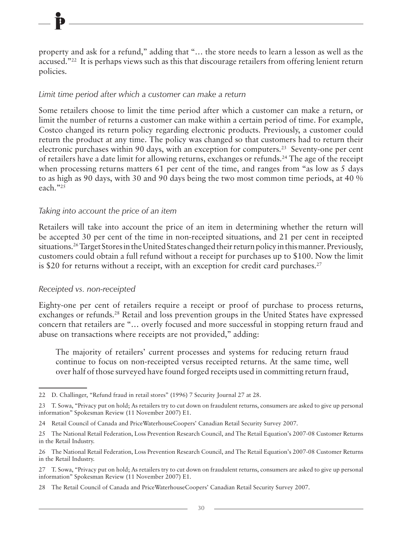property and ask for a refund," adding that "… the store needs to learn a lesson as well as the accused."<sup>22</sup> It is perhaps views such as this that discourage retailers from offering lenient return policies.

#### *Limit time period after which a customer can make a return*

Some retailers choose to limit the time period after which a customer can make a return, or limit the number of returns a customer can make within a certain period of time. For example, Costco changed its return policy regarding electronic products. Previously, a customer could return the product at any time. The policy was changed so that customers had to return their electronic purchases within 90 days, with an exception for computers.<sup>23</sup> Seventy-one per cent of retailers have a date limit for allowing returns, exchanges or refunds.24 The age of the receipt when processing returns matters 61 per cent of the time, and ranges from "as low as 5 days to as high as 90 days, with 30 and 90 days being the two most common time periods, at 40 % each."25

#### *Taking into account the price of an item*

Retailers will take into account the price of an item in determining whether the return will be accepted 30 per cent of the time in non-receipted situations, and 21 per cent in receipted situations.26 Target Stores in the United States changed their return policy in this manner. Previously, customers could obtain a full refund without a receipt for purchases up to \$100. Now the limit is \$20 for returns without a receipt, with an exception for credit card purchases. $27$ 

#### *Receipted vs. non-receipted*

Eighty-one per cent of retailers require a receipt or proof of purchase to process returns, exchanges or refunds.<sup>28</sup> Retail and loss prevention groups in the United States have expressed concern that retailers are "… overly focused and more successful in stopping return fraud and abuse on transactions where receipts are not provided," adding:

The majority of retailers' current processes and systems for reducing return fraud continue to focus on non-receipted versus receipted returns. At the same time, well over half of those surveyed have found forged receipts used in committing return fraud,

<sup>22</sup> D. Challinger, "Refund fraud in retail stores" (1996) 7 Security Journal 27 at 28.

<sup>23</sup> T. Sowa, "Privacy put on hold; As retailers try to cut down on fraudulent returns, consumers are asked to give up personal information" Spokesman Review (11 November 2007) E1.

<sup>24</sup> Retail Council of Canada and PriceWaterhouseCoopers' Canadian Retail Security Survey 2007.

<sup>25</sup> The National Retail Federation, Loss Prevention Research Council, and The Retail Equation's 2007-08 Customer Returns in the Retail Industry.

<sup>26</sup> The National Retail Federation, Loss Prevention Research Council, and The Retail Equation's 2007-08 Customer Returns in the Retail Industry.

<sup>27</sup> T. Sowa, "Privacy put on hold; As retailers try to cut down on fraudulent returns, consumers are asked to give up personal information" Spokesman Review (11 November 2007) E1.

<sup>28</sup> The Retail Council of Canada and PriceWaterhouseCoopers' Canadian Retail Security Survey 2007.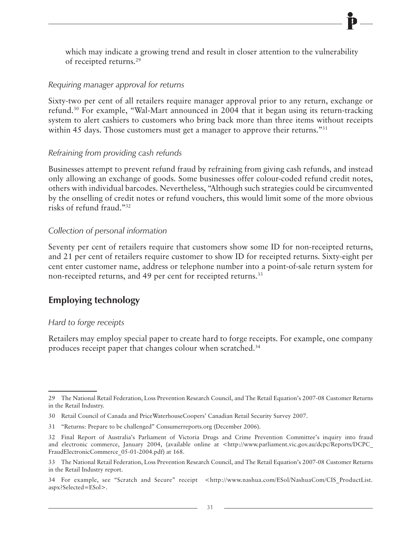which may indicate a growing trend and result in closer attention to the vulnerability of receipted returns.29

#### *Requiring manager approval for returns*

Sixty-two per cent of all retailers require manager approval prior to any return, exchange or refund.30 For example, "Wal-Mart announced in 2004 that it began using its return-tracking system to alert cashiers to customers who bring back more than three items without receipts within 45 days. Those customers must get a manager to approve their returns."<sup>31</sup>

#### *Refraining from providing cash refunds*

Businesses attempt to prevent refund fraud by refraining from giving cash refunds, and instead only allowing an exchange of goods. Some businesses offer colour-coded refund credit notes, others with individual barcodes. Nevertheless, "Although such strategies could be circumvented by the onselling of credit notes or refund vouchers, this would limit some of the more obvious risks of refund fraud."32

#### *Collection of personal information*

Seventy per cent of retailers require that customers show some ID for non-receipted returns, and 21 per cent of retailers require customer to show ID for receipted returns. Sixty-eight per cent enter customer name, address or telephone number into a point-of-sale return system for non-receipted returns, and 49 per cent for receipted returns.<sup>33</sup>

#### **Employing technology**

#### *Hard to forge receipts*

Retailers may employ special paper to create hard to forge receipts. For example, one company produces receipt paper that changes colour when scratched.34

<sup>29</sup> The National Retail Federation, Loss Prevention Research Council, and The Retail Equation's 2007-08 Customer Returns in the Retail Industry.

<sup>30</sup> Retail Council of Canada and PriceWaterhouseCoopers' Canadian Retail Security Survey 2007.

<sup>31</sup> "Returns: Prepare to be challenged" Consumerreports.org (December 2006).

<sup>32</sup> Final Report of Australia's Parliament of Victoria Drugs and Crime Prevention Committee's inquiry into fraud and electronic commerce, January 2004, (available online at <http://www.parliament.vic.gov.au/dcpc/Reports/DCPC\_ FraudElectronicCommerce\_05-01-2004.pdf) at 168.

<sup>33</sup> The National Retail Federation, Loss Prevention Research Council, and The Retail Equation's 2007-08 Customer Returns in the Retail Industry report.

<sup>34</sup> For example, see "Scratch and Secure" receipt <http://www.nashua.com/ESol/NashuaCom/CIS ProductList. aspx?Selected=ESol>.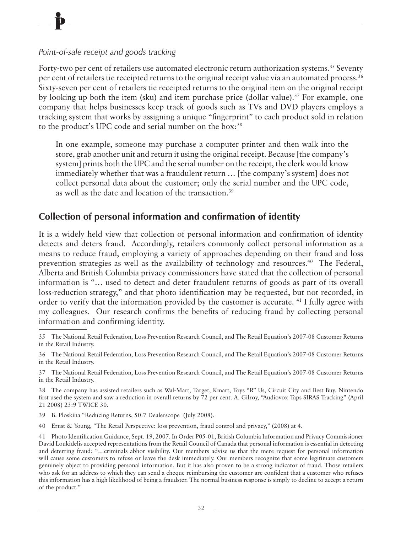#### *Point-of-sale receipt and goods tracking*

Forty-two per cent of retailers use automated electronic return authorization systems.<sup>35</sup> Seventy per cent of retailers tie receipted returns to the original receipt value via an automated process.<sup>36</sup> Sixty-seven per cent of retailers tie receipted returns to the original item on the original receipt by looking up both the item (sku) and item purchase price (dollar value).<sup>37</sup> For example, one company that helps businesses keep track of goods such as TVs and DVD players employs a tracking system that works by assigning a unique "fingerprint" to each product sold in relation to the product's UPC code and serial number on the box:<sup>38</sup>

In one example, someone may purchase a computer printer and then walk into the store, grab another unit and return it using the original receipt. Because [the company's system] prints both the UPC and the serial number on the receipt, the clerk would know immediately whether that was a fraudulent return … [the company's system] does not collect personal data about the customer; only the serial number and the UPC code, as well as the date and location of the transaction.39

#### **Collection of personal information and confirmation of identity**

It is a widely held view that collection of personal information and confirmation of identity detects and deters fraud. Accordingly, retailers commonly collect personal information as a means to reduce fraud, employing a variety of approaches depending on their fraud and loss prevention strategies as well as the availability of technology and resources.<sup>40</sup> The Federal, Alberta and British Columbia privacy commissioners have stated that the collection of personal information is "… used to detect and deter fraudulent returns of goods as part of its overall loss-reduction strategy," and that photo identification may be requested, but not recorded, in order to verify that the information provided by the customer is accurate. 41 I fully agree with my colleagues. Our research confirms the benefits of reducing fraud by collecting personal information and confirming identity.

39 B. Ploskina "Reducing Returns, 50:7 Dealerscope (July 2008).

<sup>35</sup> The National Retail Federation, Loss Prevention Research Council, and The Retail Equation's 2007-08 Customer Returns in the Retail Industry.

<sup>36</sup> The National Retail Federation, Loss Prevention Research Council, and The Retail Equation's 2007-08 Customer Returns in the Retail Industry.

<sup>37</sup> The National Retail Federation, Loss Prevention Research Council, and The Retail Equation's 2007-08 Customer Returns in the Retail Industry.

<sup>38</sup> The company has assisted retailers such as Wal-Mart, Target, Kmart, Toys "R" Us, Circuit City and Best Buy. Nintendo first used the system and saw a reduction in overall returns by 72 per cent. A. Gilroy, "Audiovox Taps SIRAS Tracking" (April 21 2008) 23:9 TWICE 30.

<sup>40</sup> Ernst & Young, "The Retail Perspective: loss prevention, fraud control and privacy," (2008) at 4.

<sup>41</sup> Photo Identification Guidance, Sept. 19, 2007. In Order P05-01, British Columbia Information and Privacy Commissioner David Loukidelis accepted representations from the Retail Council of Canada that personal information is essential in detecting and deterring fraud: "…criminals abhor visibility. Our members advise us that the mere request for personal information will cause some customers to refuse or leave the desk immediately. Our members recognize that some legitimate customers genuinely object to providing personal information. But it has also proven to be a strong indicator of fraud. Those retailers who ask for an address to which they can send a cheque reimbursing the customer are confident that a customer who refuses this information has a high likelihood of being a fraudster. The normal business response is simply to decline to accept a return of the product."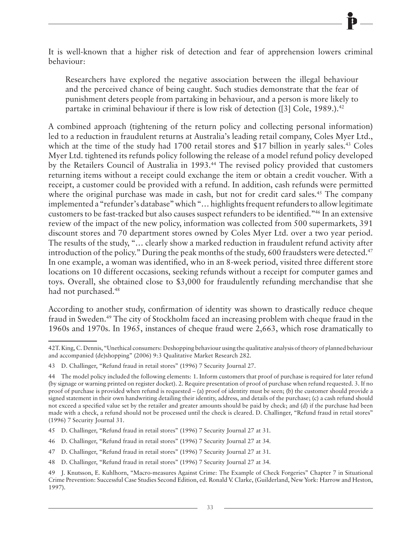It is well-known that a higher risk of detection and fear of apprehension lowers criminal behaviour:

Researchers have explored the negative association between the illegal behaviour and the perceived chance of being caught. Such studies demonstrate that the fear of punishment deters people from partaking in behaviour, and a person is more likely to partake in criminal behaviour if there is low risk of detection ([3] Cole,  $1989$ .).<sup>42</sup>

A combined approach (tightening of the return policy and collecting personal information) led to a reduction in fraudulent returns at Australia's leading retail company, Coles Myer Ltd., which at the time of the study had 1700 retail stores and \$17 billion in yearly sales.<sup>43</sup> Coles Myer Ltd. tightened its refunds policy following the release of a model refund policy developed by the Retailers Council of Australia in 1993.<sup>44</sup> The revised policy provided that customers returning items without a receipt could exchange the item or obtain a credit voucher. With a receipt, a customer could be provided with a refund. In addition, cash refunds were permitted where the original purchase was made in cash, but not for credit card sales.<sup>45</sup> The company implemented a "refunder's database" which "… highlights frequent refunders to allow legitimate customers to be fast-tracked but also causes suspect refunders to be identified."46 In an extensive review of the impact of the new policy, information was collected from 500 supermarkets, 391 discount stores and 70 department stores owned by Coles Myer Ltd. over a two year period. The results of the study, "… clearly show a marked reduction in fraudulent refund activity after introduction of the policy." During the peak months of the study, 600 fraudsters were detected.<sup>47</sup> In one example, a woman was identified, who in an 8-week period, visited three different store locations on 10 different occasions, seeking refunds without a receipt for computer games and toys. Overall, she obtained close to \$3,000 for fraudulently refunding merchandise that she had not purchased.<sup>48</sup>

According to another study, confirmation of identity was shown to drastically reduce cheque fraud in Sweden.49 The city of Stockholm faced an increasing problem with cheque fraud in the 1960s and 1970s. In 1965, instances of cheque fraud were 2,663, which rose dramatically to

- 47 D. Challinger, "Refund fraud in retail stores" (1996) 7 Security Journal 27 at 31.
- 48 D. Challinger, "Refund fraud in retail stores" (1996) 7 Security Journal 27 at 34.

<sup>42</sup>T. King, C. Dennis, "Unethical consumers: Deshopping behaviour using the qualitative analysis of theory of planned behaviour and accompanied (de)shopping" (2006) 9:3 Qualitative Market Research 282.

<sup>43</sup> D. Challinger, "Refund fraud in retail stores" (1996) 7 Security Journal 27.

<sup>44</sup> The model policy included the following elements: 1. Inform customers that proof of purchase is required for later refund (by signage or warning printed on register docket). 2. Require presentation of proof of purchase when refund requested. 3. If no proof of purchase is provided when refund is requested – (a) proof of identity must be seen; (b) the customer should provide a signed statement in their own handwriting detailing their identity, address, and details of the purchase; (c) a cash refund should not exceed a specified value set by the retailer and greater amounts should be paid by check; and (d) if the purchase had been made with a check, a refund should not be processed until the check is cleared. D. Challinger, "Refund fraud in retail stores" (1996) 7 Security Journal 31.

<sup>45</sup> D. Challinger, "Refund fraud in retail stores" (1996) 7 Security Journal 27 at 31.

<sup>46</sup> D. Challinger, "Refund fraud in retail stores" (1996) 7 Security Journal 27 at 34.

<sup>49</sup> J. Knutsson, E. Kuhlhorn, "Macro-measures Against Crime: The Example of Check Forgeries" Chapter 7 in Situational Crime Prevention: Successful Case Studies Second Edition, ed. Ronald V. Clarke, (Guilderland, New York: Harrow and Heston, 1997).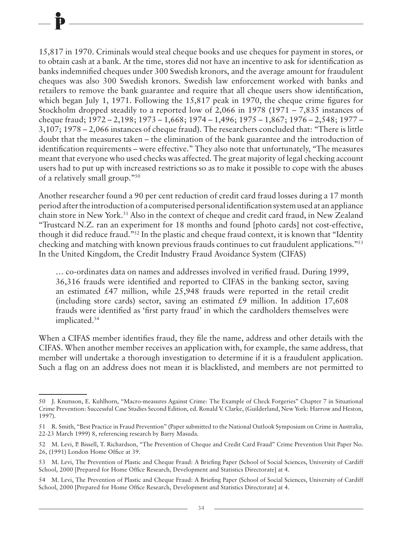15,817 in 1970. Criminals would steal cheque books and use cheques for payment in stores, or to obtain cash at a bank. At the time, stores did not have an incentive to ask for identification as banks indemnified cheques under 300 Swedish kronors, and the average amount for fraudulent cheques was also 300 Swedish kronors. Swedish law enforcement worked with banks and retailers to remove the bank guarantee and require that all cheque users show identification, which began July 1, 1971. Following the 15,817 peak in 1970, the cheque crime figures for Stockholm dropped steadily to a reported low of 2,066 in 1978 (1971 – 7,835 instances of cheque fraud; 1972 – 2,198; 1973 – 1,668; 1974 – 1,496; 1975 – 1,867; 1976 – 2,548; 1977 – 3,107; 1978 – 2,066 instances of cheque fraud). The researchers concluded that: "There is little doubt that the measures taken – the elimination of the bank guarantee and the introduction of identification requirements – were effective." They also note that unfortunately, "The measures meant that everyone who used checks was affected. The great majority of legal checking account users had to put up with increased restrictions so as to make it possible to cope with the abuses of a relatively small group."50

Another researcher found a 90 per cent reduction of credit card fraud losses during a 17 month period after the introduction of a computerised personal identification system used at an appliance chain store in New York.51 Also in the context of cheque and credit card fraud, in New Zealand "Trustcard N.Z. ran an experiment for 18 months and found [photo cards] not cost-effective, though it did reduce fraud."52 In the plastic and cheque fraud context, it is known that "Identity checking and matching with known previous frauds continues to cut fraudulent applications."53 In the United Kingdom, the Credit Industry Fraud Avoidance System (CIFAS)

… co-ordinates data on names and addresses involved in verified fraud. During 1999, 36,316 frauds were identified and reported to CIFAS in the banking sector, saving an estimated £47 million, while 25,948 frauds were reported in the retail credit (including store cards) sector, saving an estimated  $\text{\pounds}9$  million. In addition 17,608 frauds were identified as 'first party fraud' in which the cardholders themselves were implicated.54

When a CIFAS member identifies fraud, they file the name, address and other details with the CIFAS. When another member receives an application with, for example, the same address, that member will undertake a thorough investigation to determine if it is a fraudulent application. Such a flag on an address does not mean it is blacklisted, and members are not permitted to

<sup>50</sup> J. Knutsson, E. Kuhlhorn, "Macro-measures Against Crime: The Example of Check Forgeries" Chapter 7 in Situational Crime Prevention: Successful Case Studies Second Edition, ed. Ronald V. Clarke, (Guilderland, New York: Harrow and Heston, 1997).

<sup>51</sup> R. Smith, "Best Practice in Fraud Prevention" (Paper submitted to the National Outlook Symposium on Crime in Australia, 22-23 March 1999) 8, referencing research by Barry Masuda.

<sup>52</sup> M. Levi, P. Bissell, T. Richardson, "The Prevention of Cheque and Credit Card Fraud" Crime Prevention Unit Paper No. 26, (1991) London Home Office at 39.

<sup>53</sup> M. Levi, The Prevention of Plastic and Cheque Fraud: A Briefing Paper (School of Social Sciences, University of Cardiff School, 2000 [Prepared for Home Office Research, Development and Statistics Directorate] at 4.

<sup>54</sup> M. Levi, The Prevention of Plastic and Cheque Fraud: A Briefing Paper (School of Social Sciences, University of Cardiff School, 2000 [Prepared for Home Office Research, Development and Statistics Directorate] at 4.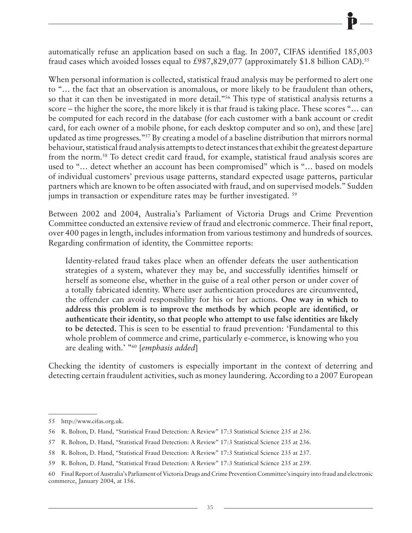automatically refuse an application based on such a flag. In 2007, CIFAS identified 185,003 fraud cases which avoided losses equal to £987,829,077 (approximately \$1.8 billion CAD).<sup>55</sup>

When personal information is collected, statistical fraud analysis may be performed to alert one to "… the fact that an observation is anomalous, or more likely to be fraudulent than others, so that it can then be investigated in more detail."56 This type of statistical analysis returns a score – the higher the score, the more likely it is that fraud is taking place. These scores "… can be computed for each record in the database (for each customer with a bank account or credit card, for each owner of a mobile phone, for each desktop computer and so on), and these [are] updated as time progresses."57 By creating a model of a baseline distribution that mirrors normal behaviour, statistical fraud analysis attempts to detect instances that exhibit the greatest departure from the norm.58 To detect credit card fraud, for example, statistical fraud analysis scores are used to "… detect whether an account has been compromised" which is "… based on models of individual customers' previous usage patterns, standard expected usage patterns, particular partners which are known to be often associated with fraud, and on supervised models." Sudden jumps in transaction or expenditure rates may be further investigated. <sup>59</sup>

Between 2002 and 2004, Australia's Parliament of Victoria Drugs and Crime Prevention Committee conducted an extensive review of fraud and electronic commerce. Their final report, over 400 pages in length, includes information from various testimony and hundreds of sources. Regarding confirmation of identity, the Committee reports:

Identity-related fraud takes place when an offender defeats the user authentication strategies of a system, whatever they may be, and successfully identifies himself or herself as someone else, whether in the guise of a real other person or under cover of a totally fabricated identity. Where user authentication procedures are circumvented, the offender can avoid responsibility for his or her actions. **One way in which to address this problem is to improve the methods by which people are identified, or authenticate their identity, so that people who attempt to use false identities are likely to be detected.** This is seen to be essential to fraud prevention: 'Fundamental to this whole problem of commerce and crime, particularly e-commerce, is knowing who you are dealing with.' "60 [*emphasis added*]

Checking the identity of customers is especially important in the context of deterring and detecting certain fraudulent activities, such as money laundering. According to a 2007 European

<sup>55</sup> http://www.cifas.org.uk.

<sup>56</sup> R. Bolton, D. Hand, "Statistical Fraud Detection: A Review" 17:3 Statistical Science 235 at 236.

<sup>57</sup> R. Bolton, D. Hand, "Statistical Fraud Detection: A Review" 17:3 Statistical Science 235 at 236.

<sup>58</sup> R. Bolton, D. Hand, "Statistical Fraud Detection: A Review" 17:3 Statistical Science 235 at 237.

<sup>59</sup> R. Bolton, D. Hand, "Statistical Fraud Detection: A Review" 17:3 Statistical Science 235 at 239.

<sup>60</sup> Final Report of Australia's Parliament of Victoria Drugs and Crime Prevention Committee's inquiry into fraud and electronic commerce, January 2004, at 156.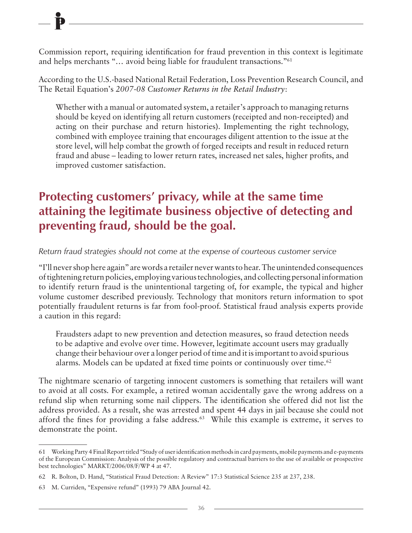Commission report, requiring identification for fraud prevention in this context is legitimate and helps merchants "… avoid being liable for fraudulent transactions."61

According to the U.S.-based National Retail Federation, Loss Prevention Research Council, and The Retail Equation's *2007-08 Customer Returns in the Retail Industry*:

Whether with a manual or automated system, a retailer's approach to managing returns should be keyed on identifying all return customers (receipted and non-receipted) and acting on their purchase and return histories). Implementing the right technology, combined with employee training that encourages diligent attention to the issue at the store level, will help combat the growth of forged receipts and result in reduced return fraud and abuse – leading to lower return rates, increased net sales, higher profits, and improved customer satisfaction.

### **Protecting customers' privacy, while at the same time attaining the legitimate business objective of detecting and preventing fraud, should be the goal.**

*Return fraud strategies should not come at the expense of courteous customer service*

"I'll never shop here again" are words a retailer never wants to hear. The unintended consequences of tightening return policies, employing various technologies, and collecting personal information to identify return fraud is the unintentional targeting of, for example, the typical and higher volume customer described previously. Technology that monitors return information to spot potentially fraudulent returns is far from fool-proof. Statistical fraud analysis experts provide a caution in this regard:

Fraudsters adapt to new prevention and detection measures, so fraud detection needs to be adaptive and evolve over time. However, legitimate account users may gradually change their behaviour over a longer period of time and it is important to avoid spurious alarms. Models can be updated at fixed time points or continuously over time.<sup>62</sup>

The nightmare scenario of targeting innocent customers is something that retailers will want to avoid at all costs. For example, a retired woman accidentally gave the wrong address on a refund slip when returning some nail clippers. The identification she offered did not list the address provided. As a result, she was arrested and spent 44 days in jail because she could not afford the fines for providing a false address.<sup>63</sup> While this example is extreme, it serves to demonstrate the point.

<sup>61</sup> Working Party 4 Final Report titled "Study of user identification methods in card payments, mobile payments and e-payments of the European Commission: Analysis of the possible regulatory and contractual barriers to the use of available or prospective best technologies" MARKT/2006/08/F/WP 4 at 47.

<sup>62</sup> R. Bolton, D. Hand, "Statistical Fraud Detection: A Review" 17:3 Statistical Science 235 at 237, 238.

<sup>63</sup> M. Curriden, "Expensive refund" (1993) 79 ABA Journal 42.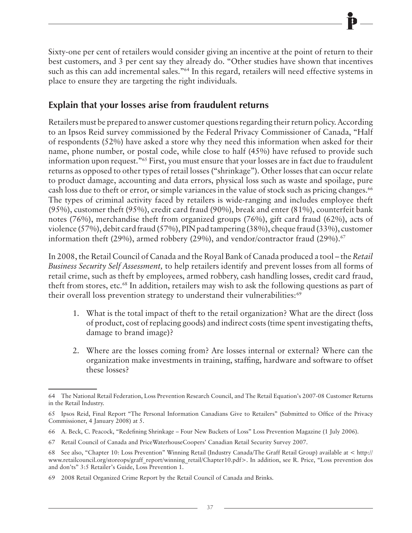Sixty-one per cent of retailers would consider giving an incentive at the point of return to their best customers, and 3 per cent say they already do. "Other studies have shown that incentives such as this can add incremental sales."<sup>64</sup> In this regard, retailers will need effective systems in place to ensure they are targeting the right individuals.

#### **Explain that your losses arise from fraudulent returns**

Retailers must be prepared to answer customer questions regarding their return policy. According to an Ipsos Reid survey commissioned by the Federal Privacy Commissioner of Canada, "Half of respondents (52%) have asked a store why they need this information when asked for their name, phone number, or postal code, while close to half (45%) have refused to provide such information upon request."65 First, you must ensure that your losses are in fact due to fraudulent returns as opposed to other types of retail losses ("shrinkage"). Other losses that can occur relate to product damage, accounting and data errors, physical loss such as waste and spoilage, pure cash loss due to theft or error, or simple variances in the value of stock such as pricing changes.<sup>66</sup> The types of criminal activity faced by retailers is wide-ranging and includes employee theft (95%), customer theft (95%), credit card fraud (90%), break and enter (81%), counterfeit bank notes (76%), merchandise theft from organized groups (76%), gift card fraud (62%), acts of violence (57%), debit card fraud (57%), PIN pad tampering (38%), cheque fraud (33%), customer information theft (29%), armed robbery (29%), and vendor/contractor fraud (29%).<sup>67</sup>

In 2008, the Retail Council of Canada and the Royal Bank of Canada produced a tool – the *Retail Business Security Self Assessment,* to help retailers identify and prevent losses from all forms of retail crime, such as theft by employees, armed robbery, cash handling losses, credit card fraud, theft from stores, etc.<sup>68</sup> In addition, retailers may wish to ask the following questions as part of their overall loss prevention strategy to understand their vulnerabilities:<sup>69</sup>

- 1. What is the total impact of theft to the retail organization? What are the direct (loss of product, cost of replacing goods) and indirect costs (time spent investigating thefts, damage to brand image)?
- 2. Where are the losses coming from? Are losses internal or external? Where can the organization make investments in training, staffing, hardware and software to offset these losses?

<sup>64</sup> The National Retail Federation, Loss Prevention Research Council, and The Retail Equation's 2007-08 Customer Returns in the Retail Industry.

<sup>65</sup> Ipsos Reid, Final Report "The Personal Information Canadians Give to Retailers" (Submitted to Office of the Privacy Commissioner, 4 January 2008) at 5.

<sup>66</sup> A. Beck, C. Peacock, "Redefining Shrinkage – Four New Buckets of Loss" Loss Prevention Magazine (1 July 2006).

<sup>67</sup> Retail Council of Canada and PriceWaterhouseCoopers' Canadian Retail Security Survey 2007.

<sup>68</sup> See also, "Chapter 10: Loss Prevention" Winning Retail (Industry Canada/The Graff Retail Group) available at < http:// www.retailcouncil.org/storeops/graff\_report/winning\_retail/Chapter10.pdf>. In addition, see R. Price, "Loss prevention dos and don'ts" 3:5 Retailer's Guide, Loss Prevention 1.

<sup>69</sup> 2008 Retail Organized Crime Report by the Retail Council of Canada and Brinks.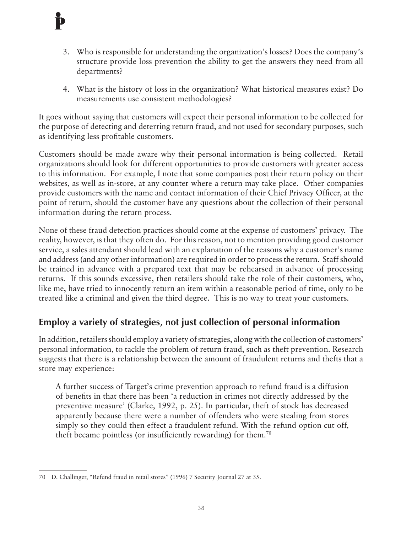- 3. Who is responsible for understanding the organization's losses? Does the company's structure provide loss prevention the ability to get the answers they need from all departments?
- 4. What is the history of loss in the organization? What historical measures exist? Do measurements use consistent methodologies?

It goes without saying that customers will expect their personal information to be collected for the purpose of detecting and deterring return fraud, and not used for secondary purposes, such as identifying less profitable customers.

Customers should be made aware why their personal information is being collected. Retail organizations should look for different opportunities to provide customers with greater access to this information. For example, I note that some companies post their return policy on their websites, as well as in-store, at any counter where a return may take place. Other companies provide customers with the name and contact information of their Chief Privacy Officer, at the point of return, should the customer have any questions about the collection of their personal information during the return process.

None of these fraud detection practices should come at the expense of customers' privacy. The reality, however, is that they often do. For this reason, not to mention providing good customer service, a sales attendant should lead with an explanation of the reasons why a customer's name and address (and any other information) are required in order to process the return. Staff should be trained in advance with a prepared text that may be rehearsed in advance of processing returns. If this sounds excessive, then retailers should take the role of their customers, who, like me, have tried to innocently return an item within a reasonable period of time, only to be treated like a criminal and given the third degree. This is no way to treat your customers.

#### **Employ a variety of strategies, not just collection of personal information**

In addition, retailers should employ a variety of strategies, along with the collection of customers' personal information, to tackle the problem of return fraud, such as theft prevention. Research suggests that there is a relationship between the amount of fraudulent returns and thefts that a store may experience:

A further success of Target's crime prevention approach to refund fraud is a diffusion of benefits in that there has been 'a reduction in crimes not directly addressed by the preventive measure' (Clarke, 1992, p. 25). In particular, theft of stock has decreased apparently because there were a number of offenders who were stealing from stores simply so they could then effect a fraudulent refund. With the refund option cut off, theft became pointless (or insufficiently rewarding) for them.70

<sup>70</sup> D. Challinger, "Refund fraud in retail stores" (1996) 7 Security Journal 27 at 35.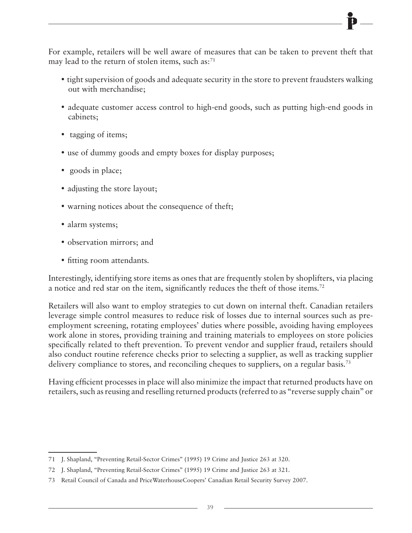For example, retailers will be well aware of measures that can be taken to prevent theft that may lead to the return of stolen items, such as:<sup>71</sup>

- tight supervision of goods and adequate security in the store to prevent fraudsters walking out with merchandise;
- adequate customer access control to high-end goods, such as putting high-end goods in cabinets;
- tagging of items;
- use of dummy goods and empty boxes for display purposes;
- goods in place;
- adjusting the store layout;
- warning notices about the consequence of theft;
- alarm systems;
- observation mirrors; and
- fitting room attendants.

Interestingly, identifying store items as ones that are frequently stolen by shoplifters, via placing a notice and red star on the item, significantly reduces the theft of those items.72

Retailers will also want to employ strategies to cut down on internal theft. Canadian retailers leverage simple control measures to reduce risk of losses due to internal sources such as preemployment screening, rotating employees' duties where possible, avoiding having employees work alone in stores, providing training and training materials to employees on store policies specifically related to theft prevention. To prevent vendor and supplier fraud, retailers should also conduct routine reference checks prior to selecting a supplier, as well as tracking supplier delivery compliance to stores, and reconciling cheques to suppliers, on a regular basis.<sup>73</sup>

Having efficient processes in place will also minimize the impact that returned products have on retailers, such as reusing and reselling returned products (referred to as "reverse supply chain" or

<sup>71</sup> J. Shapland, "Preventing Retail-Sector Crimes" (1995) 19 Crime and Justice 263 at 320.

<sup>72</sup> J. Shapland, "Preventing Retail-Sector Crimes" (1995) 19 Crime and Justice 263 at 321.

<sup>73</sup> Retail Council of Canada and PriceWaterhouseCoopers' Canadian Retail Security Survey 2007.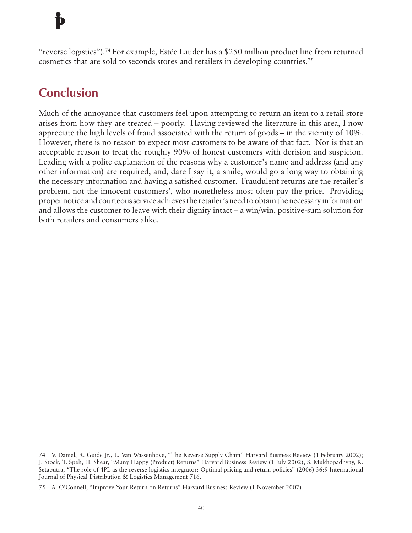"reverse logistics").74 For example, Estée Lauder has a \$250 million product line from returned cosmetics that are sold to seconds stores and retailers in developing countries.75

### **Conclusion**

Much of the annoyance that customers feel upon attempting to return an item to a retail store arises from how they are treated – poorly. Having reviewed the literature in this area, I now appreciate the high levels of fraud associated with the return of goods – in the vicinity of 10%. However, there is no reason to expect most customers to be aware of that fact. Nor is that an acceptable reason to treat the roughly 90% of honest customers with derision and suspicion. Leading with a polite explanation of the reasons why a customer's name and address (and any other information) are required, and, dare I say it, a smile, would go a long way to obtaining the necessary information and having a satisfied customer. Fraudulent returns are the retailer's problem, not the innocent customers', who nonetheless most often pay the price. Providing proper notice and courteous service achieves the retailer's need to obtain the necessary information and allows the customer to leave with their dignity intact – a win/win, positive-sum solution for both retailers and consumers alike.

<sup>74</sup> V. Daniel, R. Guide Jr., L. Van Wassenhove, "The Reverse Supply Chain" Harvard Business Review (1 February 2002); J. Stock, T. Speh, H. Shear, "Many Happy (Product) Returns" Harvard Business Review (1 July 2002); S. Mukhopadhyay, R. Setaputra, "The role of 4PL as the reverse logistics integrator: Optimal pricing and return policies" (2006) 36:9 International Journal of Physical Distribution & Logistics Management 716.

<sup>75</sup> A. O'Connell, "Improve Your Return on Returns" Harvard Business Review (1 November 2007).